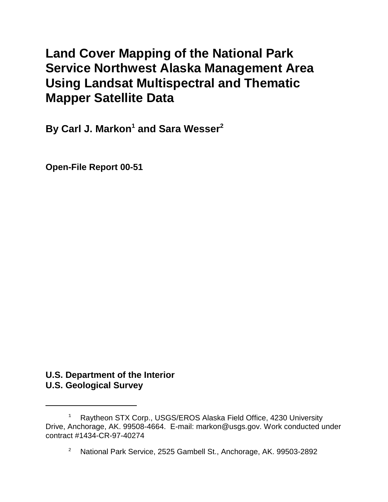# **Land Cover Mapping of the National Park Service Northwest Alaska Management Area Using Landsat Multispectral and Thematic Mapper Satellite Data**

**By Carl J. Markon<sup>1</sup> and Sara Wesser<sup>2</sup>** 

**Open-File Report 00-51**

# **U.S. Department of the Interior U.S. Geological Survey**

<sup>1</sup> Raytheon STX Corp., USGS/EROS Alaska Field Office, 4230 University Drive, Anchorage, AK. 99508-4664. E-mail: markon@usgs.gov. Work conducted under contract #1434-CR-97-40274

<sup>2</sup> National Park Service, 2525 Gambell St., Anchorage, AK. 99503-2892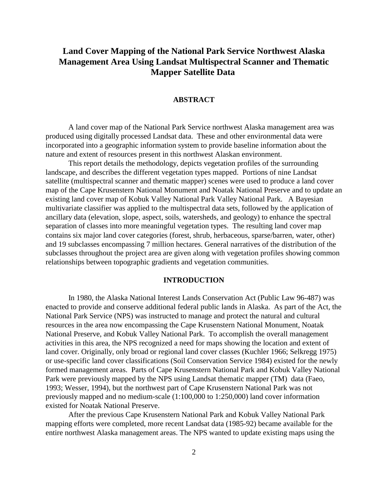# **Land Cover Mapping of the National Park Service Northwest Alaska Management Area Using Landsat Multispectral Scanner and Thematic Mapper Satellite Data**

### **ABSTRACT**

A land cover map of the National Park Service northwest Alaska management area was produced using digitally processed Landsat data. These and other environmental data were incorporated into a geographic information system to provide baseline information about the nature and extent of resources present in this northwest Alaskan environment.

This report details the methodology, depicts vegetation profiles of the surrounding landscape, and describes the different vegetation types mapped. Portions of nine Landsat satellite (multispectral scanner and thematic mapper) scenes were used to produce a land cover map of the Cape Krusenstern National Monument and Noatak National Preserve and to update an existing land cover map of Kobuk Valley National Park Valley National Park. A Bayesian multivariate classifier was applied to the multispectral data sets, followed by the application of ancillary data (elevation, slope, aspect, soils, watersheds, and geology) to enhance the spectral separation of classes into more meaningful vegetation types. The resulting land cover map contains six major land cover categories (forest, shrub, herbaceous, sparse/barren, water, other) and 19 subclasses encompassing 7 million hectares. General narratives of the distribution of the subclasses throughout the project area are given along with vegetation profiles showing common relationships between topographic gradients and vegetation communities.

### **INTRODUCTION**

In 1980, the Alaska National Interest Lands Conservation Act (Public Law 96-487) was enacted to provide and conserve additional federal public lands in Alaska. As part of the Act, the National Park Service (NPS) was instructed to manage and protect the natural and cultural resources in the area now encompassing the Cape Krusenstern National Monument, Noatak National Preserve, and Kobuk Valley National Park. To accomplish the overall management activities in this area, the NPS recognized a need for maps showing the location and extent of land cover. Originally, only broad or regional land cover classes (Kuchler 1966; Selkregg 1975) or use-specific land cover classifications (Soil Conservation Service 1984) existed for the newly formed management areas. Parts of Cape Krusenstern National Park and Kobuk Valley National Park were previously mapped by the NPS using Landsat thematic mapper (TM) data (Faeo, 1993; Wesser, 1994), but the northwest part of Cape Krusenstern National Park was not previously mapped and no medium-scale (1:100,000 to 1:250,000) land cover information existed for Noatak National Preserve.

After the previous Cape Krusenstern National Park and Kobuk Valley National Park mapping efforts were completed, more recent Landsat data (1985-92) became available for the entire northwest Alaska management areas. The NPS wanted to update existing maps using the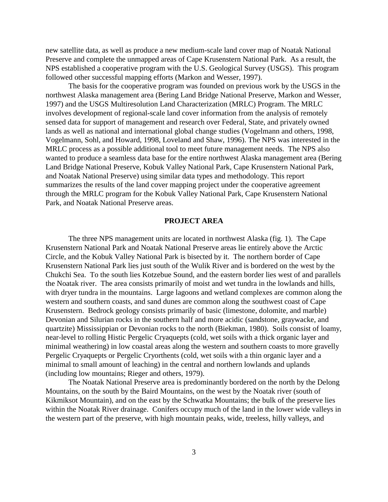new satellite data, as well as produce a new medium-scale land cover map of Noatak National Preserve and complete the unmapped areas of Cape Krusenstern National Park. As a result, the NPS established a cooperative program with the U.S. Geological Survey (USGS). This program followed other successful mapping efforts (Markon and Wesser, 1997).

The basis for the cooperative program was founded on previous work by the USGS in the northwest Alaska management area (Bering Land Bridge National Preserve, Markon and Wesser, 1997) and the USGS Multiresolution Land Characterization (MRLC) Program. The MRLC involves development of regional-scale land cover information from the analysis of remotely sensed data for support of management and research over Federal, State, and privately owned lands as well as national and international global change studies (Vogelmann and others, 1998, Vogelmann, Sohl, and Howard, 1998, Loveland and Shaw, 1996). The NPS was interested in the MRLC process as a possible additional tool to meet future management needs. The NPS also wanted to produce a seamless data base for the entire northwest Alaska management area (Bering Land Bridge National Preserve, Kobuk Valley National Park, Cape Krusenstern National Park, and Noatak National Preserve) using similar data types and methodology. This report summarizes the results of the land cover mapping project under the cooperative agreement through the MRLC program for the Kobuk Valley National Park, Cape Krusenstern National Park, and Noatak National Preserve areas.

### **PROJECT AREA**

The three NPS management units are located in northwest Alaska (fig. 1). The Cape Krusenstern National Park and Noatak National Preserve areas lie entirely above the Arctic Circle, and the Kobuk Valley National Park is bisected by it. The northern border of Cape Krusenstern National Park lies just south of the Wulik River and is bordered on the west by the Chukchi Sea. To the south lies Kotzebue Sound, and the eastern border lies west of and parallels the Noatak river. The area consists primarily of moist and wet tundra in the lowlands and hills, with dryer tundra in the mountains. Large lagoons and wetland complexes are common along the western and southern coasts, and sand dunes are common along the southwest coast of Cape Krusenstern. Bedrock geology consists primarily of basic (limestone, dolomite, and marble) Devonian and Silurian rocks in the southern half and more acidic (sandstone, graywacke, and quartzite) Mississippian or Devonian rocks to the north (Biekman, 1980). Soils consist of loamy, near-level to rolling Histic Pergelic Cryaquepts (cold, wet soils with a thick organic layer and minimal weathering) in low coastal areas along the western and southern coasts to more gravelly Pergelic Cryaquepts or Pergelic Cryorthents (cold, wet soils with a thin organic layer and a minimal to small amount of leaching) in the central and northern lowlands and uplands (including low mountains; Rieger and others, 1979).

The Noatak National Preserve area is predominantly bordered on the north by the Delong Mountains, on the south by the Baird Mountains, on the west by the Noatak river (south of Kikmiksot Mountain), and on the east by the Schwatka Mountains; the bulk of the preserve lies within the Noatak River drainage. Conifers occupy much of the land in the lower wide valleys in the western part of the preserve, with high mountain peaks, wide, treeless, hilly valleys, and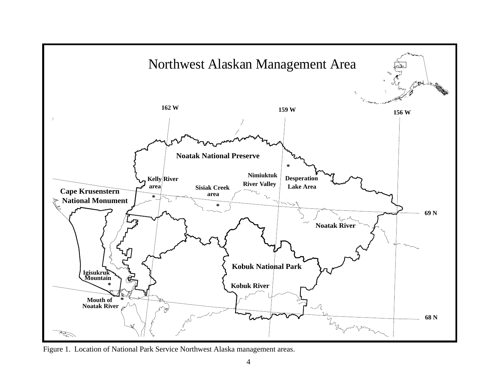

Figure 1. Location of National Park Service Northwest Alaska management areas.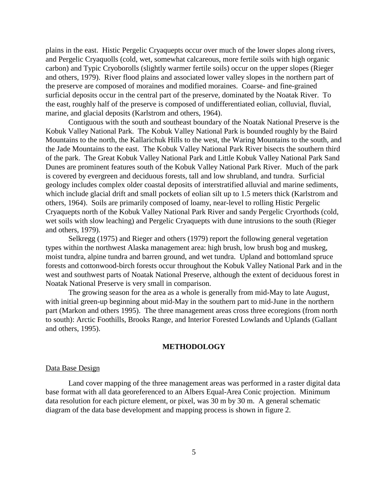plains in the east. Histic Pergelic Cryaquepts occur over much of the lower slopes along rivers, and Pergelic Cryaquolls (cold, wet, somewhat calcareous, more fertile soils with high organic carbon) and Typic Cryoborolls (slightly warmer fertile soils) occur on the upper slopes (Rieger and others, 1979). River flood plains and associated lower valley slopes in the northern part of the preserve are composed of moraines and modified moraines. Coarse- and fine-grained surficial deposits occur in the central part of the preserve, dominated by the Noatak River. To the east, roughly half of the preserve is composed of undifferentiated eolian, colluvial, fluvial, marine, and glacial deposits (Karlstrom and others, 1964).

Contiguous with the south and southeast boundary of the Noatak National Preserve is the Kobuk Valley National Park. The Kobuk Valley National Park is bounded roughly by the Baird Mountains to the north, the Kallarichuk Hills to the west, the Waring Mountains to the south, and the Jade Mountains to the east. The Kobuk Valley National Park River bisects the southern third of the park. The Great Kobuk Valley National Park and Little Kobuk Valley National Park Sand Dunes are prominent features south of the Kobuk Valley National Park River. Much of the park is covered by evergreen and deciduous forests, tall and low shrubland, and tundra. Surficial geology includes complex older coastal deposits of interstratified alluvial and marine sediments, which include glacial drift and small pockets of eolian silt up to 1.5 meters thick (Karlstrom and others, 1964). Soils are primarily composed of loamy, near-level to rolling Histic Pergelic Cryaquepts north of the Kobuk Valley National Park River and sandy Pergelic Cryorthods (cold, wet soils with slow leaching) and Pergelic Cryaquepts with dune intrusions to the south (Rieger and others, 1979).

Selkregg (1975) and Rieger and others (1979) report the following general vegetation types within the northwest Alaska management area: high brush, low brush bog and muskeg, moist tundra, alpine tundra and barren ground, and wet tundra. Upland and bottomland spruce forests and cottonwood-birch forests occur throughout the Kobuk Valley National Park and in the west and southwest parts of Noatak National Preserve, although the extent of deciduous forest in Noatak National Preserve is very small in comparison.

The growing season for the area as a whole is generally from mid-May to late August, with initial green-up beginning about mid-May in the southern part to mid-June in the northern part (Markon and others 1995). The three management areas cross three ecoregions (from north to south): Arctic Foothills, Brooks Range, and Interior Forested Lowlands and Uplands (Gallant and others, 1995).

### **METHODOLOGY**

#### Data Base Design

Land cover mapping of the three management areas was performed in a raster digital data base format with all data georeferenced to an Albers Equal-Area Conic projection. Minimum data resolution for each picture element, or pixel, was 30 m by 30 m. A general schematic diagram of the data base development and mapping process is shown in figure 2.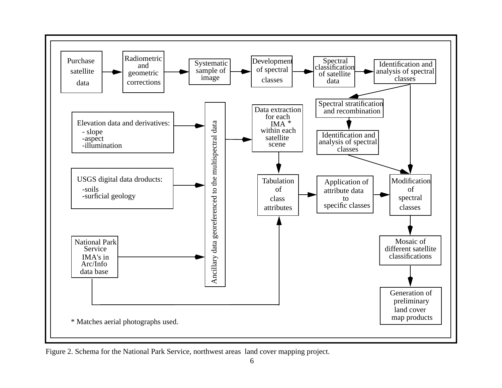

Figure 2. Schema for the National Park Service, northwest areas land cover mapping project.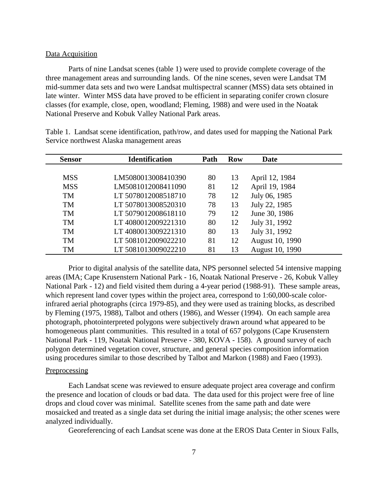### Data Acquisition

Parts of nine Landsat scenes (table 1) were used to provide complete coverage of the three management areas and surrounding lands. Of the nine scenes, seven were Landsat TM mid-summer data sets and two were Landsat multispectral scanner (MSS) data sets obtained in late winter. Winter MSS data have proved to be efficient in separating conifer crown closure classes (for example, close, open, woodland; Fleming, 1988) and were used in the Noatak National Preserve and Kobuk Valley National Park areas.

| <b>Sensor</b> | <b>Identification</b> | Path | <b>Row</b> | <b>Date</b>     |
|---------------|-----------------------|------|------------|-----------------|
|               |                       |      |            |                 |
| <b>MSS</b>    | LM5080013008410390    | 80   | 13         | April 12, 1984  |
| <b>MSS</b>    | LM5081012008411090    | 81   | 12         | April 19, 1984  |
| <b>TM</b>     | LT 5078012008518710   | 78   | 12         | July 06, 1985   |
| <b>TM</b>     | LT 5078013008520310   | 78   | 13         | July 22, 1985   |
| <b>TM</b>     | LT 5079012008618110   | 79   | 12         | June 30, 1986   |
| <b>TM</b>     | LT4080012009221310    | 80   | 12         | July 31, 1992   |
| <b>TM</b>     | LT 4080013009221310   | 80   | 13         | July 31, 1992   |
| <b>TM</b>     | LT 5081012009022210   | 81   | 12         | August 10, 1990 |
| TM            | LT 5081013009022210   | 81   | 13         | August 10, 1990 |

Table 1. Landsat scene identification, path/row, and dates used for mapping the National Park Service northwest Alaska management areas

Prior to digital analysis of the satellite data, NPS personnel selected 54 intensive mapping areas (IMA; Cape Krusenstern National Park - 16, Noatak National Preserve - 26, Kobuk Valley National Park - 12) and field visited them during a 4-year period (1988-91). These sample areas, which represent land cover types within the project area, correspond to 1:60,000-scale colorinfrared aerial photographs (circa 1979-85), and they were used as training blocks, as described by Fleming (1975, 1988), Talbot and others (1986), and Wesser (1994). On each sample area photograph, photointerpreted polygons were subjectively drawn around what appeared to be homogeneous plant communities. This resulted in a total of 657 polygons (Cape Krusenstern National Park - 119, Noatak National Preserve - 380, KOVA - 158). A ground survey of each polygon determined vegetation cover, structure, and general species composition information using procedures similar to those described by Talbot and Markon (1988) and Faeo (1993).

#### Preprocessing

Each Landsat scene was reviewed to ensure adequate project area coverage and confirm the presence and location of clouds or bad data. The data used for this project were free of line drops and cloud cover was minimal. Satellite scenes from the same path and date were mosaicked and treated as a single data set during the initial image analysis; the other scenes were analyzed individually.

Georeferencing of each Landsat scene was done at the EROS Data Center in Sioux Falls,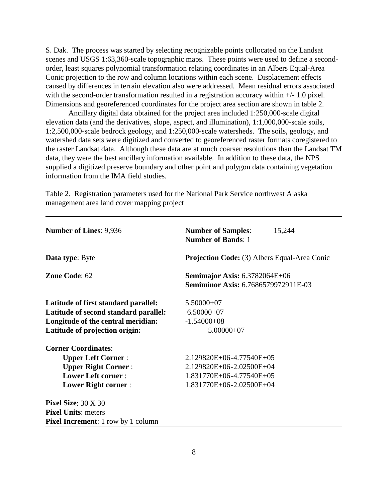S. Dak. The process was started by selecting recognizable points collocated on the Landsat scenes and USGS 1:63,360-scale topographic maps. These points were used to define a secondorder, least squares polynomial transformation relating coordinates in an Albers Equal-Area Conic projection to the row and column locations within each scene. Displacement effects caused by differences in terrain elevation also were addressed. Mean residual errors associated with the second-order transformation resulted in a registration accuracy within  $+/- 1.0$  pixel. Dimensions and georeferenced coordinates for the project area section are shown in table 2.

Ancillary digital data obtained for the project area included 1:250,000-scale digital elevation data (and the derivatives, slope, aspect, and illumination), 1:1,000,000-scale soils, 1:2,500,000-scale bedrock geology, and 1:250,000-scale watersheds. The soils, geology, and watershed data sets were digitized and converted to georeferenced raster formats coregistered to the raster Landsat data. Although these data are at much coarser resolutions than the Landsat TM data, they were the best ancillary information available. In addition to these data, the NPS supplied a digitized preserve boundary and other point and polygon data containing vegetation information from the IMA field studies.

Table 2. Registration parameters used for the National Park Service northwest Alaska management area land cover mapping project

| <b>Number of Lines: 9,936</b>             | <b>Number of Samples:</b><br>15,244<br><b>Number of Bands: 1</b>                   |  |  |  |  |  |
|-------------------------------------------|------------------------------------------------------------------------------------|--|--|--|--|--|
| <b>Data type:</b> Byte                    | <b>Projection Code:</b> (3) Albers Equal-Area Conic                                |  |  |  |  |  |
| Zone Code: 62                             | <b>Semimajor Axis: 6.3782064E+06</b><br><b>Semiminor Axis: 6.7686579972911E-03</b> |  |  |  |  |  |
| Latitude of first standard parallel:      | $5.50000+07$                                                                       |  |  |  |  |  |
| Latitude of second standard parallel:     | $6.50000+07$                                                                       |  |  |  |  |  |
| Longitude of the central meridian:        | $-1.54000 + 08$                                                                    |  |  |  |  |  |
| Latitude of projection origin:            | $5.00000+07$                                                                       |  |  |  |  |  |
| <b>Corner Coordinates:</b>                |                                                                                    |  |  |  |  |  |
| <b>Upper Left Corner:</b>                 | 2.129820E+06-4.77540E+05                                                           |  |  |  |  |  |
| <b>Upper Right Corner:</b>                | 2.129820E+06-2.02500E+04                                                           |  |  |  |  |  |
| <b>Lower Left corner:</b>                 | 1.831770E+06-4.77540E+05                                                           |  |  |  |  |  |
| <b>Lower Right corner:</b>                | 1.831770E+06-2.02500E+04                                                           |  |  |  |  |  |
| Pixel Size: $30 \times 30$                |                                                                                    |  |  |  |  |  |
| <b>Pixel Units: meters</b>                |                                                                                    |  |  |  |  |  |
| <b>Pixel Increment:</b> 1 row by 1 column |                                                                                    |  |  |  |  |  |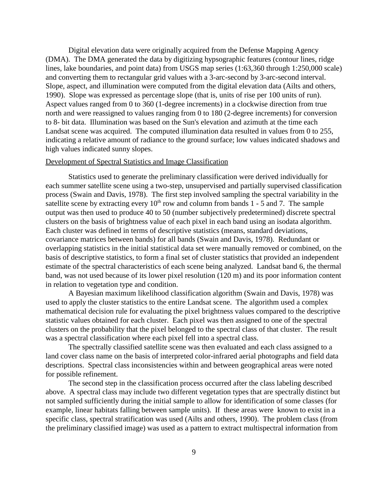Digital elevation data were originally acquired from the Defense Mapping Agency (DMA). The DMA generated the data by digitizing hypsographic features (contour lines, ridge lines, lake boundaries, and point data) from USGS map series (1:63,360 through 1:250,000 scale) and converting them to rectangular grid values with a 3-arc-second by 3-arc-second interval. Slope, aspect, and illumination were computed from the digital elevation data (Ailts and others, 1990). Slope was expressed as percentage slope (that is, units of rise per 100 units of run). Aspect values ranged from 0 to 360 (1-degree increments) in a clockwise direction from true north and were reassigned to values ranging from 0 to 180 (2-degree increments) for conversion to 8- bit data. Illumination was based on the Sun's elevation and azimuth at the time each Landsat scene was acquired. The computed illumination data resulted in values from 0 to 255, indicating a relative amount of radiance to the ground surface; low values indicated shadows and high values indicated sunny slopes.

### Development of Spectral Statistics and Image Classification

Statistics used to generate the preliminary classification were derived individually for each summer satellite scene using a two-step, unsupervised and partially supervised classification process (Swain and Davis, 1978). The first step involved sampling the spectral variability in the satellite scene by extracting every  $10<sup>th</sup>$  row and column from bands 1 - 5 and 7. The sample output was then used to produce 40 to 50 (number subjectively predetermined) discrete spectral clusters on the basis of brightness value of each pixel in each band using an isodata algorithm. Each cluster was defined in terms of descriptive statistics (means, standard deviations, covariance matrices between bands) for all bands (Swain and Davis, 1978). Redundant or overlapping statistics in the initial statistical data set were manually removed or combined, on the basis of descriptive statistics, to form a final set of cluster statistics that provided an independent estimate of the spectral characteristics of each scene being analyzed. Landsat band 6, the thermal band, was not used because of its lower pixel resolution (120 m) and its poor information content in relation to vegetation type and condition.

A Bayesian maximum likelihood classification algorithm (Swain and Davis, 1978) was used to apply the cluster statistics to the entire Landsat scene. The algorithm used a complex mathematical decision rule for evaluating the pixel brightness values compared to the descriptive statistic values obtained for each cluster. Each pixel was then assigned to one of the spectral clusters on the probability that the pixel belonged to the spectral class of that cluster. The result was a spectral classification where each pixel fell into a spectral class.

The spectrally classified satellite scene was then evaluated and each class assigned to a land cover class name on the basis of interpreted color-infrared aerial photographs and field data descriptions. Spectral class inconsistencies within and between geographical areas were noted for possible refinement.

The second step in the classification process occurred after the class labeling described above. A spectral class may include two different vegetation types that are spectrally distinct but not sampled sufficiently during the initial sample to allow for identification of some classes (for example, linear habitats falling between sample units). If these areas were known to exist in a specific class, spectral stratification was used (Ailts and others, 1990). The problem class (from the preliminary classified image) was used as a pattern to extract multispectral information from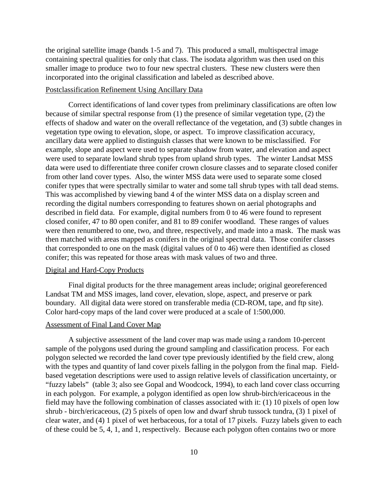the original satellite image (bands 1-5 and 7). This produced a small, multispectral image containing spectral qualities for only that class. The isodata algorithm was then used on this smaller image to produce two to four new spectral clusters. These new clusters were then incorporated into the original classification and labeled as described above.

### Postclassification Refinement Using Ancillary Data

Correct identifications of land cover types from preliminary classifications are often low because of similar spectral response from (1) the presence of similar vegetation type, (2) the effects of shadow and water on the overall reflectance of the vegetation, and (3) subtle changes in vegetation type owing to elevation, slope, or aspect. To improve classification accuracy, ancillary data were applied to distinguish classes that were known to be misclassified. For example, slope and aspect were used to separate shadow from water, and elevation and aspect were used to separate lowland shrub types from upland shrub types. The winter Landsat MSS data were used to differentiate three conifer crown closure classes and to separate closed conifer from other land cover types. Also, the winter MSS data were used to separate some closed conifer types that were spectrally similar to water and some tall shrub types with tall dead stems. This was accomplished by viewing band 4 of the winter MSS data on a display screen and recording the digital numbers corresponding to features shown on aerial photographs and described in field data. For example, digital numbers from 0 to 46 were found to represent closed conifer, 47 to 80 open conifer, and 81 to 89 conifer woodland. These ranges of values were then renumbered to one, two, and three, respectively, and made into a mask. The mask was then matched with areas mapped as conifers in the original spectral data. Those conifer classes that corresponded to one on the mask (digital values of 0 to 46) were then identified as closed conifer; this was repeated for those areas with mask values of two and three.

### Digital and Hard-Copy Products

Final digital products for the three management areas include; original georeferenced Landsat TM and MSS images, land cover, elevation, slope, aspect, and preserve or park boundary. All digital data were stored on transferable media (CD-ROM, tape, and ftp site). Color hard-copy maps of the land cover were produced at a scale of 1:500,000.

### Assessment of Final Land Cover Map

A subjective assessment of the land cover map was made using a random 10-percent sample of the polygons used during the ground sampling and classification process. For each polygon selected we recorded the land cover type previously identified by the field crew, along with the types and quantity of land cover pixels falling in the polygon from the final map. Fieldbased vegetation descriptions were used to assign relative levels of classification uncertainty, or "fuzzy labels" (table 3; also see Gopal and Woodcock, 1994), to each land cover class occurring in each polygon. For example, a polygon identified as open low shrub-birch/ericaceous in the field may have the following combination of classes associated with it: (1) 10 pixels of open low shrub - birch/ericaceous, (2) 5 pixels of open low and dwarf shrub tussock tundra, (3) 1 pixel of clear water, and (4) 1 pixel of wet herbaceous, for a total of 17 pixels. Fuzzy labels given to each of these could be 5, 4, 1, and 1, respectively. Because each polygon often contains two or more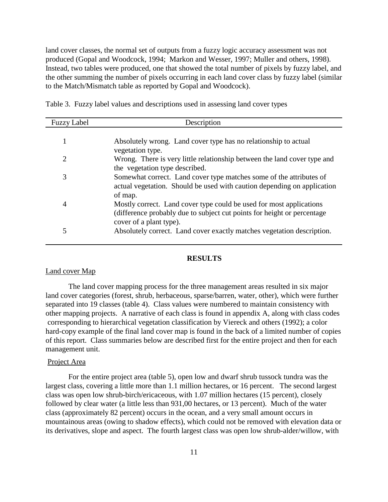land cover classes, the normal set of outputs from a fuzzy logic accuracy assessment was not produced (Gopal and Woodcock, 1994; Markon and Wesser, 1997; Muller and others, 1998). Instead, two tables were produced, one that showed the total number of pixels by fuzzy label, and the other summing the number of pixels occurring in each land cover class by fuzzy label (similar to the Match/Mismatch table as reported by Gopal and Woodcock).

Table 3. Fuzzy label values and descriptions used in assessing land cover types

| <b>Fuzzy Label</b> | Description                                                                                                                                                               |
|--------------------|---------------------------------------------------------------------------------------------------------------------------------------------------------------------------|
|                    |                                                                                                                                                                           |
| 1                  | Absolutely wrong. Land cover type has no relationship to actual<br>vegetation type.                                                                                       |
| 2                  | Wrong. There is very little relationship between the land cover type and<br>the vegetation type described.                                                                |
| 3                  | Somewhat correct. Land cover type matches some of the attributes of<br>actual vegetation. Should be used with caution depending on application<br>of map.                 |
| $\overline{4}$     | Mostly correct. Land cover type could be used for most applications<br>(difference probably due to subject cut points for height or percentage<br>cover of a plant type). |
| 5                  | Absolutely correct. Land cover exactly matches vegetation description.                                                                                                    |

### **RESULTS**

### Land cover Map

The land cover mapping process for the three management areas resulted in six major land cover categories (forest, shrub, herbaceous, sparse/barren, water, other), which were further separated into 19 classes (table 4). Class values were numbered to maintain consistency with other mapping projects. A narrative of each class is found in appendix A, along with class codes corresponding to hierarchical vegetation classification by Viereck and others (1992); a color hard-copy example of the final land cover map is found in the back of a limited number of copies of this report. Class summaries below are described first for the entire project and then for each management unit.

### Project Area

For the entire project area (table 5), open low and dwarf shrub tussock tundra was the largest class, covering a little more than 1.1 million hectares, or 16 percent. The second largest class was open low shrub-birch/ericaceous, with 1.07 million hectares (15 percent), closely followed by clear water (a little less than 931,00 hectares, or 13 percent). Much of the water class (approximately 82 percent) occurs in the ocean, and a very small amount occurs in mountainous areas (owing to shadow effects), which could not be removed with elevation data or its derivatives, slope and aspect. The fourth largest class was open low shrub-alder/willow, with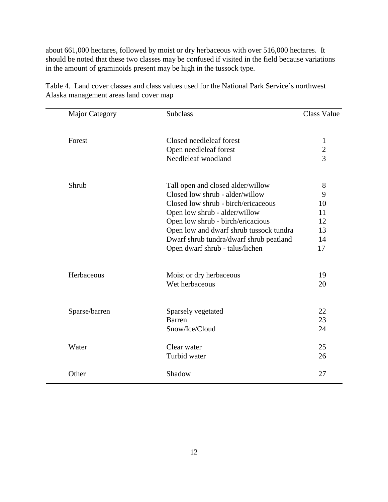about 661,000 hectares, followed by moist or dry herbaceous with over 516,000 hectares. It should be noted that these two classes may be confused if visited in the field because variations in the amount of graminoids present may be high in the tussock type.

| <b>Major Category</b> | <b>Subclass</b>                         | <b>Class Value</b> |
|-----------------------|-----------------------------------------|--------------------|
| Forest                | Closed needleleaf forest                | $\mathbf{1}$       |
|                       | Open needleleaf forest                  |                    |
|                       | Needleleaf woodland                     | $\frac{2}{3}$      |
| Shrub                 | Tall open and closed alder/willow       | 8                  |
|                       | Closed low shrub - alder/willow         | 9                  |
|                       | Closed low shrub - birch/ericaceous     | 10                 |
|                       | Open low shrub - alder/willow           | 11                 |
|                       | Open low shrub - birch/ericacious       | 12                 |
|                       | Open low and dwarf shrub tussock tundra | 13                 |
|                       | Dwarf shrub tundra/dwarf shrub peatland | 14                 |
|                       | Open dwarf shrub - talus/lichen         | 17                 |
| Herbaceous            | Moist or dry herbaceous                 | 19                 |
|                       | Wet herbaceous                          | 20                 |
|                       |                                         | 22                 |
| Sparse/barren         | Sparsely vegetated<br><b>Barren</b>     | 23                 |
|                       | Snow/Ice/Cloud                          | 24                 |
|                       |                                         |                    |
| Water                 | Clear water                             | 25                 |
|                       | Turbid water                            | 26                 |
| Other                 | Shadow                                  | 27                 |

Table 4. Land cover classes and class values used for the National Park Service's northwest Alaska management areas land cover map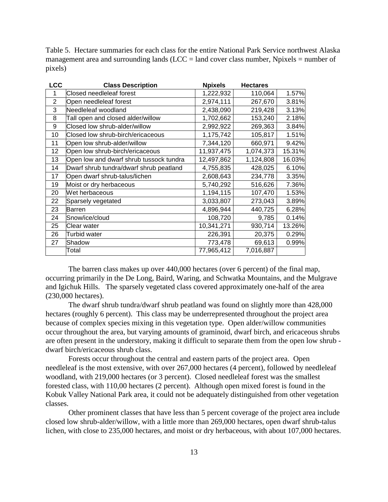Table 5. Hectare summaries for each class for the entire National Park Service northwest Alaska management area and surrounding lands ( $LCC =$  land cover class number, Npixels  $=$  number of pixels)

| <b>LCC</b>     | <b>Class Description</b>                | <b>Npixels</b> | <b>Hectares</b> |        |
|----------------|-----------------------------------------|----------------|-----------------|--------|
| 1              | Closed needleleaf forest                | 1,222,932      | 110,064         | 1.57%  |
| $\overline{2}$ | Open needleleaf forest                  | 2,974,111      | 267,670         | 3.81%  |
| 3              | Needleleaf woodland                     | 2,438,090      | 219,428         | 3.13%  |
| 8              | Tall open and closed alder/willow       | 1,702,662      | 153,240         | 2.18%  |
| 9              | Closed low shrub-alder/willow           | 2,992,922      | 269,363         | 3.84%  |
| 10             | Closed low shrub-birch/ericaceous       | 1,175,742      | 105,817         | 1.51%  |
| 11             | Open low shrub-alder/willow             | 7,344,120      | 660,971         | 9.42%  |
| 12             | Open low shrub-birch/ericaceous         | 11,937,475     | 1,074,373       | 15.31% |
| 13             | Open low and dwarf shrub tussock tundra | 12,497,862     | 1,124,808       | 16.03% |
| 14             | Dwarf shrub tundra/dwarf shrub peatland | 4,755,835      | 428,025         | 6.10%  |
| 17             | Open dwarf shrub-talus/lichen           | 2,608,643      | 234,778         | 3.35%  |
| 19             | Moist or dry herbaceous                 | 5,740,292      | 516,626         | 7.36%  |
| 20             | Wet herbaceous                          | 1,194,115      | 107,470         | 1.53%  |
| 22             | Sparsely vegetated                      | 3,033,807      | 273,043         | 3.89%  |
| 23             | Barren                                  | 4,896,944      | 440,725         | 6.28%  |
| 24             | Snow/ice/cloud                          | 108,720        | 9,785           | 0.14%  |
| 25             | Clear water                             | 10,341,271     | 930,714         | 13.26% |
| 26             | Turbid water                            | 226,391        | 20,375          | 0.29%  |
| 27             | Shadow                                  | 773,478        | 69,613          | 0.99%  |
|                | Total                                   | 77,965,412     | 7,016,887       |        |

The barren class makes up over 440,000 hectares (over 6 percent) of the final map, occurring primarily in the De Long, Baird, Waring, and Schwatka Mountains, and the Mulgrave and Igichuk Hills. The sparsely vegetated class covered approximately one-half of the area (230,000 hectares).

The dwarf shrub tundra/dwarf shrub peatland was found on slightly more than 428,000 hectares (roughly 6 percent). This class may be underrepresented throughout the project area because of complex species mixing in this vegetation type. Open alder/willow communities occur throughout the area, but varying amounts of graminoid, dwarf birch, and ericaceous shrubs are often present in the understory, making it difficult to separate them from the open low shrub dwarf birch/ericaceous shrub class.

Forests occur throughout the central and eastern parts of the project area. Open needleleaf is the most extensive, with over 267,000 hectares (4 percent), followed by needleleaf woodland, with 219,000 hectares (or 3 percent). Closed needleleaf forest was the smallest forested class, with 110,00 hectares (2 percent). Although open mixed forest is found in the Kobuk Valley National Park area, it could not be adequately distinguished from other vegetation classes.

Other prominent classes that have less than 5 percent coverage of the project area include closed low shrub-alder/willow, with a little more than 269,000 hectares, open dwarf shrub-talus lichen, with close to 235,000 hectares, and moist or dry herbaceous, with about 107,000 hectares.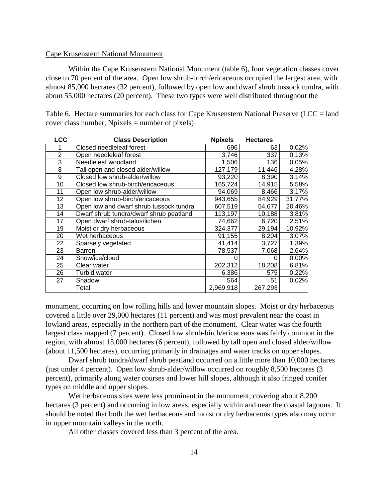### Cape Krusenstern National Monument

Within the Cape Krusenstern National Monument (table 6), four vegetation classes cover close to 70 percent of the area. Open low shrub-birch/ericaceous occupied the largest area, with almost 85,000 hectares (32 percent), followed by open low and dwarf shrub tussock tundra, with about 55,000 hectares (20 percent). These two types were well distributed throughout the

Table 6. Hectare summaries for each class for Cape Krusenstern National Preserve (LCC = land cover class number,  $N$  pixels = number of pixels)

| <b>LCC</b>      | <b>Class Description</b>                | <b>Npixels</b> | <b>Hectares</b> |        |
|-----------------|-----------------------------------------|----------------|-----------------|--------|
|                 | Closed needleleaf forest                | 696            | 63              | 0.02%  |
| $\overline{2}$  | Open needleleaf forest                  | 3,746          | 337             | 0.13%  |
| 3               | Needleleaf woodland                     | 1,506          | 136             | 0.05%  |
| 8               | Tall open and closed alder/willow       | 127,179        | 11,446          | 4.28%  |
| 9               | Closed low shrub-alder/willow           | 93,220         | 8,390           | 3.14%  |
| 10              | Closed low shrub-birch/ericaceous       | 165,724        | 14,915          | 5.58%  |
| 11              | Open low shrub-alder/willow             | 94,069         | 8,466           | 3.17%  |
| 12 <sub>2</sub> | Open low shrub-birch/ericaceous         | 943,655        | 84,929          | 31.77% |
| 13              | Open low and dwarf shrub tussock tundra | 607,519        | 54,677          | 20.46% |
| 14              | Dwarf shrub tundra/dwarf shrub peatland | 113,197        | 10,188          | 3.81%  |
| 17              | Open dwarf shrub-talus/lichen           | 74,662         | 6,720           | 2.51%  |
| 19              | Moist or dry herbaceous                 | 324,377        | 29,194          | 10.92% |
| 20              | Wet herbaceous                          | 91,155         | 8,204           | 3.07%  |
| 22              | Sparsely vegetated                      | 41,414         | 3,727           | 1.39%  |
| 23              | Barren                                  | 78,537         | 7,068           | 2.64%  |
| 24              | Snow/ice/cloud                          | 0              | 0               | 0.00%  |
| 25              | Clear water                             | 202,312        | 18,208          | 6.81%  |
| 26              | Turbid water                            | 6,386          | 575             | 0.22%  |
| 27              | Shadow                                  | 564            | 51              | 0.02%  |
|                 | Total                                   | 2,969,918      | 267,293         |        |
|                 |                                         |                |                 |        |

monument, occurring on low rolling hills and lower mountain slopes. Moist or dry herbaceous covered a little over 29,000 hectares (11 percent) and was most prevalent near the coast in lowland areas, especially in the northern part of the monument. Clear water was the fourth largest class mapped (7 percent). Closed low shrub-birch/ericaceous was fairly common in the region, with almost 15,000 hectares (6 percent), followed by tall open and closed alder/willow (about 11,500 hectares), occurring primarily in drainages and water tracks on upper slopes.

Dwarf shrub tundra/dwarf shrub peatland occurred on a little more than 10,000 hectares (just under 4 percent). Open low shrub-alder/willow occurred on roughly 8,500 hectares (3 percent), primarily along water courses and lower hill slopes, although it also fringed conifer types on middle and upper slopes.

Wet herbaceous sites were less prominent in the monument, covering about 8,200 hectares (3 percent) and occurring in low areas, especially within and near the coastal lagoons. It should be noted that both the wet herbaceous and moist or dry herbaceous types also may occur in upper mountain valleys in the north.

All other classes covered less than 3 percent of the area.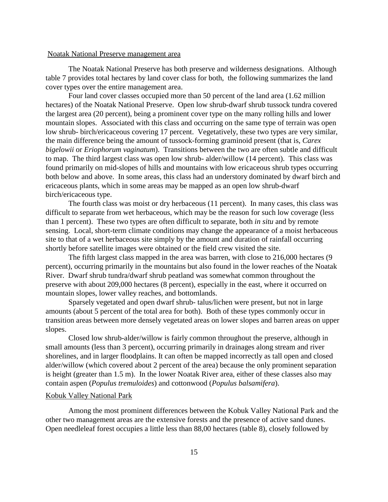#### Noatak National Preserve management area

The Noatak National Preserve has both preserve and wilderness designations. Although table 7 provides total hectares by land cover class for both, the following summarizes the land cover types over the entire management area.

Four land cover classes occupied more than 50 percent of the land area (1.62 million hectares) of the Noatak National Preserve. Open low shrub-dwarf shrub tussock tundra covered the largest area (20 percent), being a prominent cover type on the many rolling hills and lower mountain slopes. Associated with this class and occurring on the same type of terrain was open low shrub- birch/ericaceous covering 17 percent. Vegetatively, these two types are very similar, the main difference being the amount of tussock-forming graminoid present (that is, *Carex bigelowii* or *Eriophorum vaginatum*). Transitions between the two are often subtle and difficult to map. The third largest class was open low shrub- alder/willow (14 percent). This class was found primarily on mid-slopes of hills and mountains with low ericaceous shrub types occurring both below and above. In some areas, this class had an understory dominated by dwarf birch and ericaceous plants, which in some areas may be mapped as an open low shrub-dwarf birch/ericaceous type.

The fourth class was moist or dry herbaceous (11 percent). In many cases, this class was difficult to separate from wet herbaceous, which may be the reason for such low coverage (less than 1 percent). These two types are often difficult to separate, both *in situ* and by remote sensing. Local, short-term climate conditions may change the appearance of a moist herbaceous site to that of a wet herbaceous site simply by the amount and duration of rainfall occurring shortly before satellite images were obtained or the field crew visited the site.

The fifth largest class mapped in the area was barren, with close to 216,000 hectares (9 percent), occurring primarily in the mountains but also found in the lower reaches of the Noatak River. Dwarf shrub tundra/dwarf shrub peatland was somewhat common throughout the preserve with about 209,000 hectares (8 percent), especially in the east, where it occurred on mountain slopes, lower valley reaches, and bottomlands.

Sparsely vegetated and open dwarf shrub- talus/lichen were present, but not in large amounts (about 5 percent of the total area for both). Both of these types commonly occur in transition areas between more densely vegetated areas on lower slopes and barren areas on upper slopes.

Closed low shrub-alder/willow is fairly common throughout the preserve, although in small amounts (less than 3 percent), occurring primarily in drainages along stream and river shorelines, and in larger floodplains. It can often be mapped incorrectly as tall open and closed alder/willow (which covered about 2 percent of the area) because the only prominent separation is height (greater than 1.5 m). In the lower Noatak River area, either of these classes also may contain aspen (*Populus tremuloides*) and cottonwood (*Populus balsamifera*).

### Kobuk Valley National Park

Among the most prominent differences between the Kobuk Valley National Park and the other two management areas are the extensive forests and the presence of active sand dunes. Open needleleaf forest occupies a little less than 88,00 hectares (table 8), closely followed by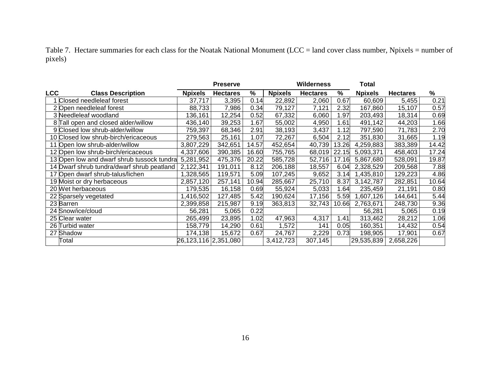Table 7. Hectare summaries for each class for the Noatak National Monument (LCC = land cover class number, Npixels = number of pixels)

|                                            |                      | <b>Preserve</b> |       |                | <b>Wilderness</b> |       | Total          |                 |       |
|--------------------------------------------|----------------------|-----------------|-------|----------------|-------------------|-------|----------------|-----------------|-------|
| <b>LCC</b><br><b>Class Description</b>     | <b>Npixels</b>       | <b>Hectares</b> | %     | <b>Npixels</b> | <b>Hectares</b>   | ℅     | <b>Npixels</b> | <b>Hectares</b> | ℅     |
| 1 Closed needleleaf forest                 | 37,717               | 3,395           | 0.14  | 22,892         | 2,060             | 0.67  | 60,609         | 5,455           | 0.21  |
| 2 Open needleleaf forest                   | 88,733               | 7,986           | 0.34  | 79,127         | 7,121             | 2.32  | 167,860        | 15,107          | 0.57  |
| 3 Needleleaf woodland                      | 136,161              | 12,254          | 0.52  | 67,332         | 6,060             | 1.97  | 203,493        | 18,314          | 0.69  |
| 8 Tall open and closed alder/willow        | 436,140              | 39,253          | 1.67  | 55,002         | 4,950             | 1.61  | 491,142        | 44,203          | 1.66  |
| 9 Closed low shrub-alder/willow            | 759,397              | 68,346          | 2.91  | 38,193         | 3,437             | 1.12  | 797,590        | 71,783          | 2.70  |
| 10 Closed low shrub-birch/ericaceous       | 279,563              | 25,161          | 1.07  | 72,267         | 6,504             | 2.12  | 351,830        | 31,665          | 1.19  |
| 11 Open low shrub-alder/willow             | 3,807,229            | 342,651         | 14.57 | 452,654        | 40,739            | 13.26 | 4,259,883      | 383,389         | 14.42 |
| 12 Open low shrub-birch/ericaceous         | 4,337,606            | 390,385         | 16.60 | 755,765        | 68,019            | 22.15 | 5,093,371      | 458,403         | 17.24 |
| 13 Open low and dwarf shrub tussock tundra | 5,281,952            | 475,376         | 20.22 | 585,728        | 52,716            | 17.16 | 5,867,680      | 528,091         | 19.87 |
| 14 Dwarf shrub tundra/dwarf shrub peatland | 2,122,341            | 191,011         | 8.12  | 206,188        | 18,557            | 6.04  | 2,328,529      | 209,568         | 7.88  |
| 17 Open dwarf shrub-talus/lichen           | 1,328,565            | 119,571         | 5.09  | 107,245        | 9,652             | 3.14  | 1,435,810      | 129,223         | 4.86  |
| 19 Moist or dry herbaceous                 | 2,857,120            | 257,141         | 10.94 | 285,667        | 25,710            | 8.37  | 3,142,787      | 282,851         | 10.64 |
| 20 Wet herbaceous                          | 179,535              | 16,158          | 0.69  | 55,924         | 5,033             | 1.64  | 235,459        | 21,191          | 0.80  |
| 22 Sparsely vegetated                      | 1,416,502            | 127,485         | 5.42  | 190,624        | 17,156            | 5.59  | 1,607,126      | 144,641         | 5.44  |
| 23 Barren                                  | 2,399,858            | 215,987         | 9.19  | 363,813        | 32,743            | 10.66 | 2,763,671      | 248,730         | 9.36  |
| 24 Snow/ice/cloud                          | 56,281               | 5,065           | 0.22  |                |                   |       | 56,281         | 5,065           | 0.19  |
| 25 Clear water                             | 265,499              | 23,895          | 1.02  | 47,963         | 4,317             | 1.41  | 313,462        | 28,212          | 1.06  |
| 26 Turbid water                            | 158,779              | 14,290          | 0.61  | 1,572          | 141               | 0.05  | 160,351        | 14,432          | 0.54  |
| 27 Shadow                                  | 174,138              | 15,672          | 0.67  | 24,767         | 2,229             | 0.73  | 198,905        | 17,901          | 0.67  |
| Total                                      | 26,123,116 2,351,080 |                 |       | 3,412,723      | 307,145           |       | 29,535,839     | 2,658,226       |       |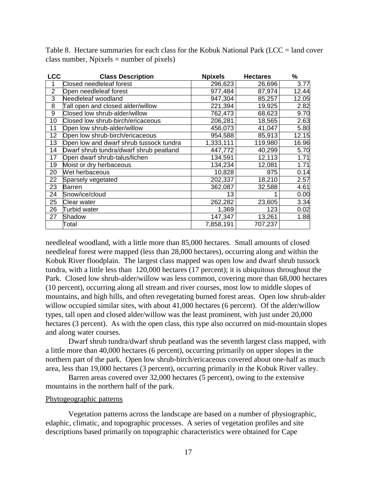|  | Table 8. Hectare summaries for each class for the Kobuk National Park (LCC = land cover |  |  |  |  |  |
|--|-----------------------------------------------------------------------------------------|--|--|--|--|--|
|  | class number, Npixels $=$ number of pixels)                                             |  |  |  |  |  |

| <b>LCC</b>     | <b>Class Description</b>                | <b>Npixels</b> | <b>Hectares</b> | ℅     |
|----------------|-----------------------------------------|----------------|-----------------|-------|
| 1              | Closed needleleaf forest                | 296,623        | 26,696          | 3.77  |
| $\overline{2}$ | Open needleleaf forest                  | 977,484        | 87,974          | 12.44 |
| 3              | Needleleaf woodland                     | 947,304        | 85,257          | 12.05 |
| 8              | Tall open and closed alder/willow       | 221,394        | 19,925          | 2.82  |
| 9              | Closed low shrub-alder/willow           | 762,473        | 68,623          | 9.70  |
| 10             | Closed low shrub-birch/ericaceous       | 206,281        | 18,565          | 2.63  |
| 11             | Open low shrub-alder/willow             | 456,073        | 41,047          | 5.80  |
| 12             | Open low shrub-birch/ericaceous         | 954,588        | 85,913          | 12.15 |
| 13             | Open low and dwarf shrub tussock tundra | 1,333,111      | 119,980         | 16.96 |
| 14             | Dwarf shrub tundra/dwarf shrub peatland | 447,772        | 40,299          | 5.70  |
| 17             | Open dwarf shrub-talus/lichen           | 134,591        | 12,113          | 1.71  |
| 19             | Moist or dry herbaceous                 | 134,234        | 12,081          | 1.71  |
| 20             | Wet herbaceous                          | 10,828         | 975             | 0.14  |
| 22             | Sparsely vegetated                      | 202,337        | 18,210          | 2.57  |
| 23             | Barren                                  | 362,087        | 32,588          | 4.61  |
| 24             | Snow/ice/cloud                          | 13             |                 | 0.00  |
| 25             | Clear water                             | 262,282        | 23,605          | 3.34  |
| 26             | Turbid water                            | 1,369          | 123             | 0.02  |
| 27             | Shadow                                  | 147,347        | 13,261          | 1.88  |
|                | Total                                   | 7,858,191      | 707,237         |       |

needleleaf woodland, with a little more than 85,000 hectares. Small amounts of closed needleleaf forest were mapped (less than 28,000 hectares), occurring along and within the Kobuk River floodplain. The largest class mapped was open low and dwarf shrub tussock tundra, with a little less than 120,000 hectares (17 percent); it is ubiquitous throughout the Park. Closed low shrub-alder/willow was less common, covering more than 68,000 hectares (10 percent), occurring along all stream and river courses, most low to middle slopes of mountains, and high hills, and often revegetating burned forest areas. Open low shrub-alder willow occupied similar sites, with about 41,000 hectares (6 percent). Of the alder/willow types, tall open and closed alder/willow was the least prominent, with just under 20,000 hectares (3 percent). As with the open class, this type also occurred on mid-mountain slopes and along water courses.

Dwarf shrub tundra/dwarf shrub peatland was the seventh largest class mapped, with a little more than 40,000 hectares (6 percent), occurring primarily on upper slopes in the northern part of the park. Open low shrub-birch/ericaceous covered about one-half as much area, less than 19,000 hectares (3 percent), occurring primarily in the Kobuk River valley.

Barren areas covered over 32,000 hectares (5 percent), owing to the extensive mountains in the northern half of the park.

### Phytogeographic patterns

Vegetation patterns across the landscape are based on a number of physiographic, edaphic, climatic, and topographic processes. A series of vegetation profiles and site descriptions based primarily on topographic characteristics were obtained for Cape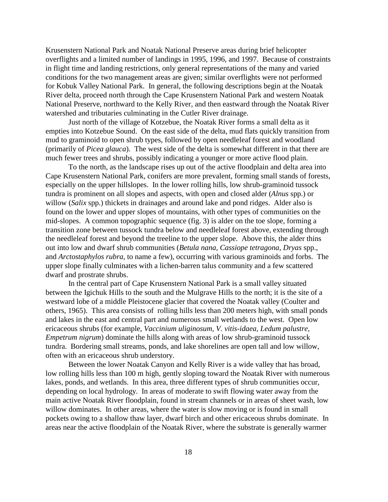Krusenstern National Park and Noatak National Preserve areas during brief helicopter overflights and a limited number of landings in 1995, 1996, and 1997. Because of constraints in flight time and landing restrictions, only general representations of the many and varied conditions for the two management areas are given; similar overflights were not performed for Kobuk Valley National Park. In general, the following descriptions begin at the Noatak River delta, proceed north through the Cape Krusenstern National Park and western Noatak National Preserve, northward to the Kelly River, and then eastward through the Noatak River watershed and tributaries culminating in the Cutler River drainage.

Just north of the village of Kotzebue, the Noatak River forms a small delta as it empties into Kotzebue Sound. On the east side of the delta, mud flats quickly transition from mud to graminoid to open shrub types, followed by open needleleaf forest and woodland (primarily of *Picea glauca*). The west side of the delta is somewhat different in that there are much fewer trees and shrubs, possibly indicating a younger or more active flood plain.

To the north, as the landscape rises up out of the active floodplain and delta area into Cape Krusenstern National Park, conifers are more prevalent, forming small stands of forests, especially on the upper hillslopes. In the lower rolling hills, low shrub-graminoid tussock tundra is prominent on all slopes and aspects, with open and closed alder (*Alnus* spp.) or willow (*Salix* spp.) thickets in drainages and around lake and pond ridges. Alder also is found on the lower and upper slopes of mountains, with other types of communities on the mid-slopes. A common topographic sequence (fig. 3) is alder on the toe slope, forming a transition zone between tussock tundra below and needleleaf forest above, extending through the needleleaf forest and beyond the treeline to the upper slope. Above this, the alder thins out into low and dwarf shrub communities (*Betula nana*, *Cassiope tetragona*, *Dryas* spp., and *Arctostaphylos rubra*, to name a few), occurring with various graminoids and forbs. The upper slope finally culminates with a lichen-barren talus community and a few scattered dwarf and prostrate shrubs.

In the central part of Cape Krusenstern National Park is a small valley situated between the Igichuk Hills to the south and the Mulgrave Hills to the north; it is the site of a westward lobe of a middle Pleistocene glacier that covered the Noatak valley (Coulter and others, 1965). This area consists of rolling hills less than 200 meters high, with small ponds and lakes in the east and central part and numerous small wetlands to the west. Open low ericaceous shrubs (for example, *Vaccinium uliginosum, V. vitis-idaea, Ledum palustre, Empetrum nigrum*) dominate the hills along with areas of low shrub-graminoid tussock tundra. Bordering small streams, ponds, and lake shorelines are open tall and low willow, often with an ericaceous shrub understory.

Between the lower Noatak Canyon and Kelly River is a wide valley that has broad, low rolling hills less than 100 m high, gently sloping toward the Noatak River with numerous lakes, ponds, and wetlands. In this area, three different types of shrub communities occur, depending on local hydrology. In areas of moderate to swift flowing water away from the main active Noatak River floodplain, found in stream channels or in areas of sheet wash, low willow dominates. In other areas, where the water is slow moving or is found in small pockets owing to a shallow thaw layer, dwarf birch and other ericaceous shrubs dominate. In areas near the active floodplain of the Noatak River, where the substrate is generally warmer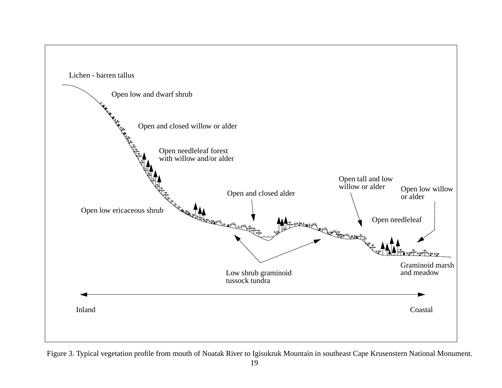

Figure 3. Typical vegetation profile from mouth of Noatak River to Igisukruk Mountain in southeast Cape Krusenstern National Monument.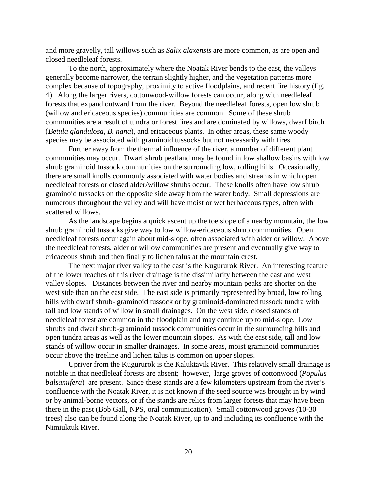and more gravelly, tall willows such as *Salix alaxensis* are more common, as are open and closed needleleaf forests.

To the north, approximately where the Noatak River bends to the east, the valleys generally become narrower, the terrain slightly higher, and the vegetation patterns more complex because of topography, proximity to active floodplains, and recent fire history (fig. 4). Along the larger rivers, cottonwood-willow forests can occur, along with needleleaf forests that expand outward from the river. Beyond the needleleaf forests, open low shrub (willow and ericaceous species) communities are common. Some of these shrub communities are a result of tundra or forest fires and are dominated by willows, dwarf birch (*Betula glandulosa, B. nana*), and ericaceous plants. In other areas, these same woody species may be associated with graminoid tussocks but not necessarily with fires.

Further away from the thermal influence of the river, a number of different plant communities may occur. Dwarf shrub peatland may be found in low shallow basins with low shrub graminoid tussock communities on the surrounding low, rolling hills. Occasionally, there are small knolls commonly associated with water bodies and streams in which open needleleaf forests or closed alder/willow shrubs occur. These knolls often have low shrub graminoid tussocks on the opposite side away from the water body. Small depressions are numerous throughout the valley and will have moist or wet herbaceous types, often with scattered willows.

As the landscape begins a quick ascent up the toe slope of a nearby mountain, the low shrub graminoid tussocks give way to low willow-ericaceous shrub communities. Open needleleaf forests occur again about mid-slope, often associated with alder or willow. Above the needleleaf forests, alder or willow communities are present and eventually give way to ericaceous shrub and then finally to lichen talus at the mountain crest.

The next major river valley to the east is the Kugururok River. An interesting feature of the lower reaches of this river drainage is the dissimilarity between the east and west valley slopes. Distances between the river and nearby mountain peaks are shorter on the west side than on the east side. The east side is primarily represented by broad, low rolling hills with dwarf shrub- graminoid tussock or by graminoid-dominated tussock tundra with tall and low stands of willow in small drainages. On the west side, closed stands of needleleaf forest are common in the floodplain and may continue up to mid-slope. Low shrubs and dwarf shrub-graminoid tussock communities occur in the surrounding hills and open tundra areas as well as the lower mountain slopes. As with the east side, tall and low stands of willow occur in smaller drainages. In some areas, moist graminoid communities occur above the treeline and lichen talus is common on upper slopes.

Upriver from the Kugururok is the Kaluktavik River. This relatively small drainage is notable in that needleleaf forests are absent; however, large groves of cottonwood (*Populus balsamifera*) are present. Since these stands are a few kilometers upstream from the river's confluence with the Noatak River, it is not known if the seed source was brought in by wind or by animal-borne vectors, or if the stands are relics from larger forests that may have been there in the past (Bob Gall, NPS, oral communication). Small cottonwood groves (10-30 trees) also can be found along the Noatak River, up to and including its confluence with the Nimiuktuk River.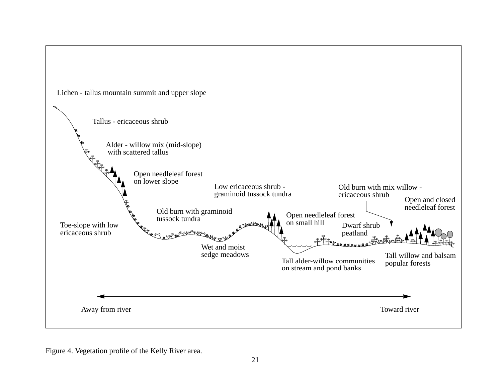

Figure 4. Vegetation profile of the Kelly River area.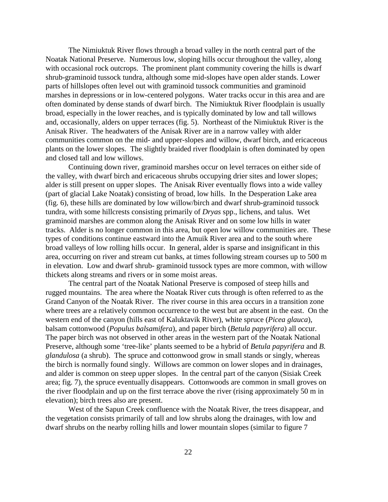The Nimiuktuk River flows through a broad valley in the north central part of the Noatak National Preserve. Numerous low, sloping hills occur throughout the valley, along with occasional rock outcrops. The prominent plant community covering the hills is dwarf shrub-graminoid tussock tundra, although some mid-slopes have open alder stands. Lower parts of hillslopes often level out with graminoid tussock communities and graminoid marshes in depressions or in low-centered polygons. Water tracks occur in this area and are often dominated by dense stands of dwarf birch. The Nimiuktuk River floodplain is usually broad, especially in the lower reaches, and is typically dominated by low and tall willows and, occasionally, alders on upper terraces (fig. 5). Northeast of the Nimiuktuk River is the Anisak River. The headwaters of the Anisak River are in a narrow valley with alder communities common on the mid- and upper-slopes and willow, dwarf birch, and ericaceous plants on the lower slopes. The slightly braided river floodplain is often dominated by open and closed tall and low willows.

Continuing down river, graminoid marshes occur on level terraces on either side of the valley, with dwarf birch and ericaceous shrubs occupying drier sites and lower slopes; alder is still present on upper slopes. The Anisak River eventually flows into a wide valley (part of glacial Lake Noatak) consisting of broad, low hills. In the Desperation Lake area (fig. 6), these hills are dominated by low willow/birch and dwarf shrub-graminoid tussock tundra, with some hillcrests consisting primarily of *Dryas* spp., lichens, and talus. Wet graminoid marshes are common along the Anisak River and on some low hills in water tracks. Alder is no longer common in this area, but open low willow communities are. These types of conditions continue eastward into the Amuik River area and to the south where broad valleys of low rolling hills occur. In general, alder is sparse and insignificant in this area, occurring on river and stream cut banks, at times following stream courses up to 500 m in elevation. Low and dwarf shrub- graminoid tussock types are more common, with willow thickets along streams and rivers or in some moist areas.

The central part of the Noatak National Preserve is composed of steep hills and rugged mountains. The area where the Noatak River cuts through is often referred to as the Grand Canyon of the Noatak River. The river course in this area occurs in a transition zone where trees are a relatively common occurrence to the west but are absent in the east. On the western end of the canyon (hills east of Kaluktavik River), white spruce (*Picea glauca*), balsam cottonwood (*Populus balsamifera*), and paper birch (*Betula papyrifera*) all occur. The paper birch was not observed in other areas in the western part of the Noatak National Preserve, although some 'tree-like' plants seemed to be a hybrid of *Betula papyrifera* and *B. glandulosa* (a shrub). The spruce and cottonwood grow in small stands or singly, whereas the birch is normally found singly. Willows are common on lower slopes and in drainages, and alder is common on steep upper slopes. In the central part of the canyon (Sisiak Creek area; fig. 7), the spruce eventually disappears. Cottonwoods are common in small groves on the river floodplain and up on the first terrace above the river (rising approximately 50 m in elevation); birch trees also are present.

West of the Sapun Creek confluence with the Noatak River, the trees disappear, and the vegetation consists primarily of tall and low shrubs along the drainages, with low and dwarf shrubs on the nearby rolling hills and lower mountain slopes (similar to figure 7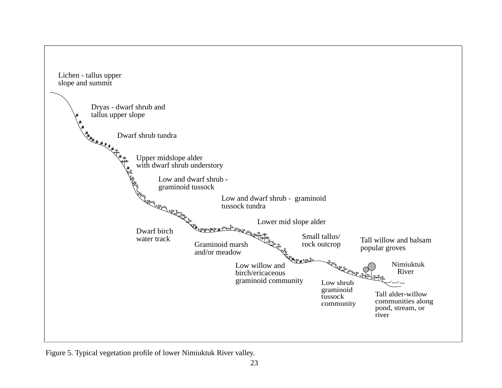

Figure 5. Typical vegetation profile of lower Nimiuktuk River valley.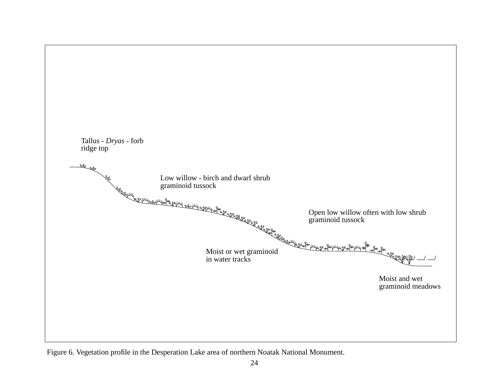

Figure 6. Vegetation profile in the Desperation Lake area of northern Noatak National Monument.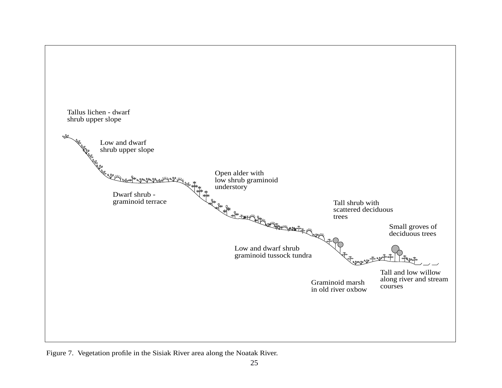

Figure 7. Vegetation profile in the Sisiak River area along the Noatak River.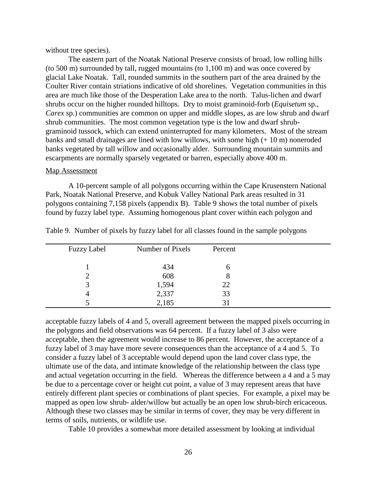without tree species).

The eastern part of the Noatak National Preserve consists of broad, low rolling hills (to 500 m) surrounded by tall, rugged mountains (to 1,100 m) and was once covered by glacial Lake Noatak. Tall, rounded summits in the southern part of the area drained by the Coulter River contain striations indicative of old shorelines. Vegetation communities in this area are much like those of the Desperation Lake area to the north. Talus-lichen and dwarf shrubs occur on the higher rounded hilltops. Dry to moist graminoid-forb (*Equisetum* sp., *Carex* sp.) communities are common on upper and middle slopes, as are low shrub and dwarf shrub communities. The most common vegetation type is the low and dwarf shrubgraminoid tussock, which can extend uninterrupted for many kilometers. Most of the stream banks and small drainages are lined with low willows, with some high (+ 10 m) noneroded banks vegetated by tall willow and occasionally alder. Surrounding mountain summits and escarpments are normally sparsely vegetated or barren, especially above 400 m.

#### Map Assessment

A 10-percent sample of all polygons occurring within the Cape Krusenstern National Park, Noatak National Preserve, and Kobuk Valley National Park areas resulted in 31 polygons containing 7,158 pixels (appendix B). Table 9 shows the total number of pixels found by fuzzy label type. Assuming homogenous plant cover within each polygon and

| <b>Fuzzy Label</b> | Number of Pixels | Percent |  |
|--------------------|------------------|---------|--|
|                    | 434              | n       |  |
|                    | 608              | δ       |  |
| 2                  | 1,594            | 22      |  |
| 4                  | 2,337            | 33      |  |
|                    | 2,185            |         |  |

Table 9. Number of pixels by fuzzy label for all classes found in the sample polygons

acceptable fuzzy labels of 4 and 5, overall agreement between the mapped pixels occurring in the polygons and field observations was 64 percent. If a fuzzy label of 3 also were acceptable, then the agreement would increase to 86 percent. However, the acceptance of a fuzzy label of 3 may have more severe consequences than the acceptance of a 4 and 5. To consider a fuzzy label of 3 acceptable would depend upon the land cover class type, the ultimate use of the data, and intimate knowledge of the relationship between the class type and actual vegetation occurring in the field. Whereas the difference between a 4 and a 5 may be due to a percentage cover or height cut point, a value of 3 may represent areas that have entirely different plant species or combinations of plant species. For example, a pixel may be mapped as open low shrub- alder/willow but actually be an open low shrub-birch ericaceous. Although these two classes may be similar in terms of cover, they may be very different in terms of soils, nutrients, or wildlife use.

Table 10 provides a somewhat more detailed assessment by looking at individual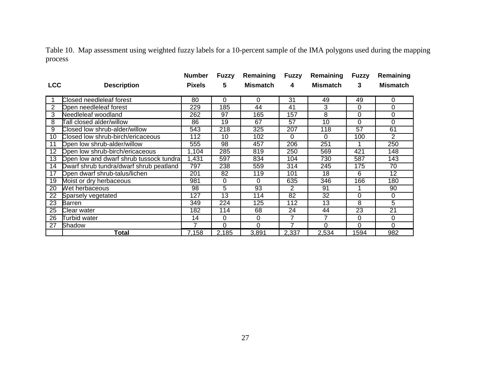Table 10. Map assessment using weighted fuzzy labels for a 10-percent sample of the IMA polygons used during the mapping process

|                 |                                         | <b>Number</b>    | <b>Fuzzy</b>     | Remaining       | <b>Fuzzy</b>     | Remaining        | <b>Fuzzy</b> | Remaining       |
|-----------------|-----------------------------------------|------------------|------------------|-----------------|------------------|------------------|--------------|-----------------|
| <b>LCC</b>      | <b>Description</b>                      | <b>Pixels</b>    | 5                | <b>Mismatch</b> | 4                | <b>Mismatch</b>  | 3            | <b>Mismatch</b> |
|                 |                                         |                  |                  |                 |                  |                  |              |                 |
|                 | Closed needleleaf forest                | 80               | 0                | 0               | 31               | 49               | 49           | 0               |
| 2               | Open needleleaf forest                  | 229              | 185              | 44              | 41               | 3                | 0            | 0               |
| 3               | Needleleaf woodland                     | 262              | 97               | 165             | 157              | 8                | 0            | 0               |
| 8               | Tall closed alder/willow                | 86               | 19               | 67              | 57               | 10               | 0            | $\Omega$        |
| 9               | Closed low shrub-alder/willow           | $\overline{543}$ | $\overline{218}$ | 325             | $\overline{207}$ | $\overline{118}$ | 57           | 61              |
| 10              | Closed low shrub-birch/ericaceous       | 112              | 10               | 102             | 0                | $\Omega$         | 100          | 2               |
| 11              | Open low shrub-alder/willow             | 555              | 98               | 457             | 206              | 251              |              | 250             |
| $\overline{12}$ | Open low shrub-birch/ericaceous         | 1,104            | 285              | 819             | 250              | 569              | 421          | 148             |
| 13              | Open low and dwarf shrub tussock tundra | 1,431            | 597              | 834             | 104              | 730              | 587          | 143             |
| 14              | Dwarf shrub tundra/dwarf shrub peatland | 797              | 238              | 559             | 314              | 245              | 175          | 70              |
| 17              | Open dwarf shrub-talus/lichen           | 201              | 82               | 119             | 101              | 18               | 6            | 12              |
| 19              | Moist or dry herbaceous                 | 981              | 0                | 0               | 635              | 346              | 166          | 180             |
| 20              | Wet herbaceous                          | 98               | 5                | 93              | 2                | 91               |              | 90              |
| 22              | Sparsely vegetated                      | 127              | 13               | 114             | 82               | 32               | 0            | 0               |
| 23              | <b>Barren</b>                           | 349              | 224              | 125             | 112              | 13               | 8            | 5               |
| 25              | Clear water                             | 182              | 114              | 68              | 24               | 44               | 23           | 21              |
| 26              | Turbid water                            | 14               | 0                | 0               | 7                | 7                | 0            | 0               |
| 27              | Shadow                                  | 7                | $\Omega$         | 0               | 7                | $\Omega$         | 0            | $\Omega$        |
|                 | Total                                   | 7,158            | 2,185            | 3,891           | 2,337            | 2,534            | 1594         | 982             |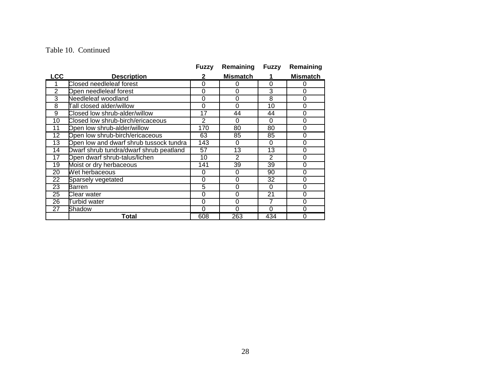#### Table 10. Continued

|                 |                                         | Fuzzy           | Remaining       | Fuzzy    | Remaining       |
|-----------------|-----------------------------------------|-----------------|-----------------|----------|-----------------|
| <b>LCC</b>      | <b>Description</b>                      | 2               | <b>Mismatch</b> |          | <b>Mismatch</b> |
| 1               | Closed needleleaf forest                | 0               | 0               | 0        | 0               |
| 2               | Open needleleaf forest                  | 0               | 0               | 3        | 0               |
| 3               | Needleleaf woodland                     | 0               | 0               | 8        | 0               |
| 8               | Tall closed alder/willow                | 0               | 0               | 10       | 0               |
| $\overline{9}$  | Closed low shrub-alder/willow           | $\overline{17}$ | 44              | 44       | $\overline{0}$  |
| $\overline{10}$ | Closed low shrub-birch/ericaceous       | $\overline{2}$  | 0               | 0        | 0               |
| 11              | Open low shrub-alder/willow             | 170             | 80              | 80       | 0               |
| 12              | Open low shrub-birch/ericaceous         | 63              | 85              | 85       | 0               |
| $\overline{13}$ | Open low and dwarf shrub tussock tundra | 143             | 0               | 0        | $\overline{0}$  |
| 14              | Dwarf shrub tundra/dwarf shrub peatland | 57              | 13              | 13       | 0               |
| $\overline{17}$ | Open dwarf shrub-talus/lichen           | 10              | 2               | 2        | 0               |
| 19              | Moist or dry herbaceous                 | 141             | 39              | 39       | 0               |
| 20              | Wet herbaceous                          | 0               | 0               | 90       | 0               |
| 22              | Sparsely vegetated                      | 0               | 0               | 32       | $\mathbf 0$     |
| 23              | Barren                                  | 5               | 0               | $\Omega$ | 0               |
| 25              | Clear water                             | 0               | 0               | 21       | 0               |
| 26              | <b>Turbid water</b>                     | 0               | 0               | 7        | 0               |
| 27              | Shadow                                  | 0               | 0               | 0        | 0               |
|                 | Total                                   | 608             | 263             | 434      | 0               |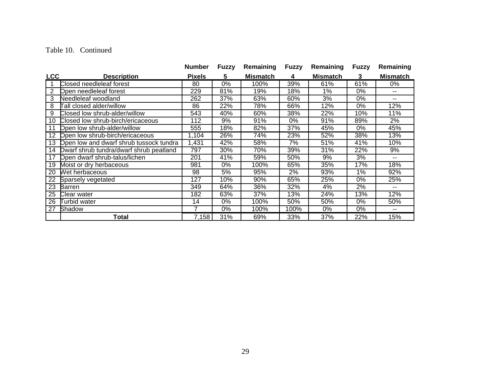#### Table 10. Continued

|            |                                         | <b>Number</b> | <b>Fuzzy</b> | Remaining       | <b>Fuzzy</b> | Remaining       | <b>Fuzzy</b> | Remaining                |
|------------|-----------------------------------------|---------------|--------------|-----------------|--------------|-----------------|--------------|--------------------------|
| <b>LCC</b> | <b>Description</b>                      | <b>Pixels</b> | 5            | <b>Mismatch</b> | 4            | <b>Mismatch</b> | 3            | <b>Mismatch</b>          |
|            | Closed needleleaf forest                | 80            | 0%           | 100%            | 39%          | 61%             | 61%          | $0\%$                    |
| 2          | Open needleleaf forest                  | 229           | 81%          | 19%             | 18%          | 1%              | 0%           | $- -$                    |
| 3          | Needleleaf woodland                     | 262           | 37%          | 63%             | 60%          | 3%              | 0%           | $-1$                     |
| 8          | Tall closed alder/willow                | 86            | 22%          | 78%             | 66%          | 12%             | 0%           | 12%                      |
| 9          | Closed low shrub-alder/willow           | 543           | 40%          | 60%             | 38%          | 22%             | 10%          | 11%                      |
| 10         | Closed low shrub-birch/ericaceous       | 112           | 9%           | 91%             | 0%           | 91%             | 89%          | $2\%$                    |
| 11         | Open low shrub-alder/willow             | 555           | 18%          | 82%             | 37%          | 45%             | 0%           | 45%                      |
| 12         | Open low shrub-birch/ericaceous         | 1,104         | 26%          | 74%             | 23%          | 52%             | 38%          | 13%                      |
| 13         | Open low and dwarf shrub tussock tundra | 1,431         | 42%          | 58%             | 7%           | 51%             | 41%          | 10%                      |
| 14         | Dwarf shrub tundra/dwarf shrub peatland | 797           | 30%          | 70%             | 39%          | 31%             | 22%          | 9%                       |
| 17         | Open dwarf shrub-talus/lichen           | 201           | 41%          | 59%             | 50%          | 9%              | 3%           | --                       |
| 19         | Moist or dry herbaceous                 | 981           | 0%           | 100%            | 65%          | 35%             | 17%          | 18%                      |
| 20         | Wet herbaceous                          | 98            | 5%           | 95%             | 2%           | 93%             | 1%           | 92%                      |
| 22         | Sparsely vegetated                      | 127           | 10%          | 90%             | 65%          | 25%             | 0%           | 25%                      |
| 23         | <b>Barren</b>                           | 349           | 64%          | 36%             | 32%          | 4%              | 2%           | $\overline{\phantom{a}}$ |
| 25         | Clear water                             | 182           | 63%          | 37%             | 13%          | 24%             | 13%          | 12%                      |
| 26         | <b>Turbid water</b>                     | 14            | 0%           | 100%            | 50%          | 50%             | 0%           | 50%                      |
| 27         | Shadow                                  | 7             | 0%           | 100%            | 100%         | 0%              | 0%           | $\sim$ $\sim$            |
|            | Total                                   | 7,158         | 31%          | 69%             | 33%          | 37%             | 22%          | 15%                      |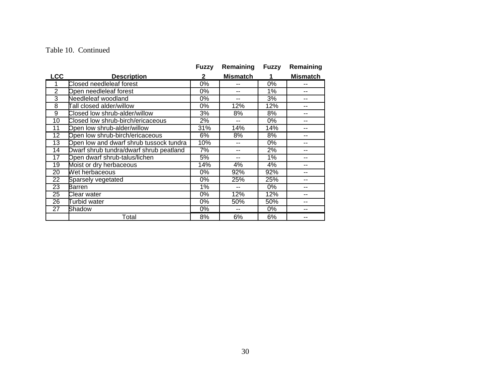#### Table 10. Continued

|                 |                                         | <b>Fuzzy</b> | Remaining       | Fuzzy | Remaining       |
|-----------------|-----------------------------------------|--------------|-----------------|-------|-----------------|
| <b>LCC</b>      | <b>Description</b>                      | $\mathbf{2}$ | <b>Mismatch</b> | 1     | <b>Mismatch</b> |
| 1               | Closed needleleaf forest                | $0\%$        |                 | 0%    | --              |
| 2               | Open needleleaf forest                  | 0%           | $\overline{a}$  | 1%    | $-$             |
| 3               | Needleleaf woodland                     | $0\%$        | --              | 3%    | --              |
| 8               | <b>Fall closed alder/willow</b>         | 0%           | 12%             | 12%   | --              |
| $\overline{9}$  | Closed low shrub-alder/willow           | 3%           | 8%              | 8%    |                 |
| $\overline{10}$ | Closed low shrub-birch/ericaceous       | 2%           | $-$             | 0%    | --              |
| 11              | Open low shrub-alder/willow             | 31%          | 14%             | 14%   | --              |
| $\overline{12}$ | Open low shrub-birch/ericaceous         | 6%           | 8%              | 8%    | --              |
| $\overline{13}$ | Open low and dwarf shrub tussock tundra | 10%          |                 | $0\%$ |                 |
| $\overline{14}$ | Dwarf shrub tundra/dwarf shrub peatland | 7%           | --              | 2%    | --              |
| $\overline{17}$ | Open dwarf shrub-talus/lichen           | 5%           | --              | 1%    |                 |
| 19              | Moist or dry herbaceous                 | 14%          | 4%              | 4%    | --              |
| 20              | Wet herbaceous                          | 0%           | 92%             | 92%   |                 |
| 22              | Sparsely vegetated                      | 0%           | 25%             | 25%   | --              |
| 23              | Barren                                  | 1%           |                 | 0%    |                 |
| 25              | Clear water                             | 0%           | 12%             | 12%   | --              |
| 26              | Turbid water                            | 0%           | 50%             | 50%   |                 |
| 27              | Shadow                                  | 0%           | $-$             | 0%    | --              |
|                 | Total                                   | 8%           | 6%              | 6%    |                 |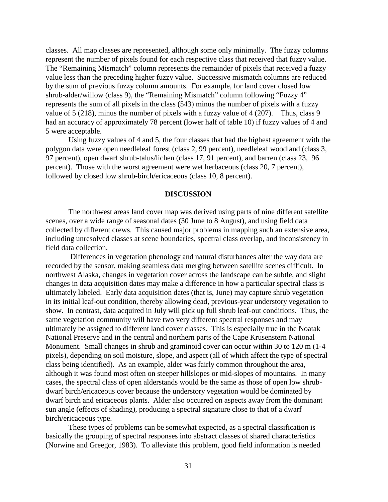classes. All map classes are represented, although some only minimally. The fuzzy columns represent the number of pixels found for each respective class that received that fuzzy value. The "Remaining Mismatch" column represents the remainder of pixels that received a fuzzy value less than the preceding higher fuzzy value. Successive mismatch columns are reduced by the sum of previous fuzzy column amounts. For example, for land cover closed low shrub-alder/willow (class 9), the "Remaining Mismatch" column following "Fuzzy 4" represents the sum of all pixels in the class (543) minus the number of pixels with a fuzzy value of 5 (218), minus the number of pixels with a fuzzy value of 4 (207). Thus, class 9 had an accuracy of approximately 78 percent (lower half of table 10) if fuzzy values of 4 and 5 were acceptable.

Using fuzzy values of 4 and 5, the four classes that had the highest agreement with the polygon data were open needleleaf forest (class 2, 99 percent), needleleaf woodland (class 3, 97 percent), open dwarf shrub-talus/lichen (class 17, 91 percent), and barren (class 23, 96 percent). Those with the worst agreement were wet herbaceous (class 20, 7 percent), followed by closed low shrub-birch/ericaceous (class 10, 8 percent).

### **DISCUSSION**

The northwest areas land cover map was derived using parts of nine different satellite scenes, over a wide range of seasonal dates (30 June to 8 August), and using field data collected by different crews. This caused major problems in mapping such an extensive area, including unresolved classes at scene boundaries, spectral class overlap, and inconsistency in field data collection.

 Differences in vegetation phenology and natural disturbances alter the way data are recorded by the sensor, making seamless data merging between satellite scenes difficult. In northwest Alaska, changes in vegetation cover across the landscape can be subtle, and slight changes in data acquisition dates may make a difference in how a particular spectral class is ultimately labeled. Early data acquisition dates (that is, June) may capture shrub vegetation in its initial leaf-out condition, thereby allowing dead, previous-year understory vegetation to show. In contrast, data acquired in July will pick up full shrub leaf-out conditions. Thus, the same vegetation community will have two very different spectral responses and may ultimately be assigned to different land cover classes. This is especially true in the Noatak National Preserve and in the central and northern parts of the Cape Krusenstern National Monument. Small changes in shrub and graminoid cover can occur within 30 to 120 m (1-4 pixels), depending on soil moisture, slope, and aspect (all of which affect the type of spectral class being identified). As an example, alder was fairly common throughout the area, although it was found most often on steeper hillslopes or mid-slopes of mountains. In many cases, the spectral class of open alderstands would be the same as those of open low shrubdwarf birch/ericaceous cover because the understory vegetation would be dominated by dwarf birch and ericaceous plants. Alder also occurred on aspects away from the dominant sun angle (effects of shading), producing a spectral signature close to that of a dwarf birch/ericaceous type.

These types of problems can be somewhat expected, as a spectral classification is basically the grouping of spectral responses into abstract classes of shared characteristics (Norwine and Greegor, 1983). To alleviate this problem, good field information is needed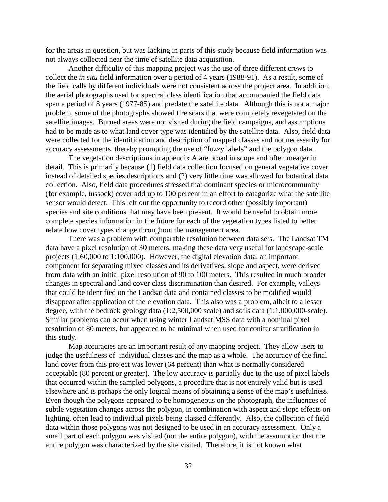for the areas in question, but was lacking in parts of this study because field information was not always collected near the time of satellite data acquisition.

Another difficulty of this mapping project was the use of three different crews to collect the *in situ* field information over a period of 4 years (1988-91). As a result, some of the field calls by different individuals were not consistent across the project area. In addition, the aerial photographs used for spectral class identification that accompanied the field data span a period of 8 years (1977-85) and predate the satellite data. Although this is not a major problem, some of the photographs showed fire scars that were completely revegetated on the satellite images. Burned areas were not visited during the field campaigns, and assumptions had to be made as to what land cover type was identified by the satellite data. Also, field data were collected for the identification and description of mapped classes and not necessarily for accuracy assessments, thereby prompting the use of "fuzzy labels" and the polygon data.

The vegetation descriptions in appendix A are broad in scope and often meager in detail. This is primarily because (1) field data collection focused on general vegetative cover instead of detailed species descriptions and (2) very little time was allowed for botanical data collection. Also, field data procedures stressed that dominant species or microcommunity (for example, tussock) cover add up to 100 percent in an effort to catagorize what the satellite sensor would detect. This left out the opportunity to record other (possibly important) species and site conditions that may have been present. It would be useful to obtain more complete species information in the future for each of the vegetation types listed to better relate how cover types change throughout the management area.

There was a problem with comparable resolution between data sets. The Landsat TM data have a pixel resolution of 30 meters, making these data very useful for landscape-scale projects (1:60,000 to 1:100,000). However, the digital elevation data, an important component for separating mixed classes and its derivatives, slope and aspect, were derived from data with an initial pixel resolution of 90 to 100 meters. This resulted in much broader changes in spectral and land cover class discrimination than desired. For example, valleys that could be identified on the Landsat data and contained classes to be modified would disappear after application of the elevation data. This also was a problem, albeit to a lesser degree, with the bedrock geology data (1:2,500,000 scale) and soils data (1:1,000,000-scale). Similar problems can occur when using winter Landsat MSS data with a nominal pixel resolution of 80 meters, but appeared to be minimal when used for conifer stratification in this study.

Map accuracies are an important result of any mapping project. They allow users to judge the usefulness of individual classes and the map as a whole. The accuracy of the final land cover from this project was lower (64 percent) than what is normally considered acceptable (80 percent or greater). The low accuracy is partially due to the use of pixel labels that occurred within the sampled polygons, a procedure that is not entirely valid but is used elsewhere and is perhaps the only logical means of obtaining a sense of the map's usefulness. Even though the polygons appeared to be homogeneous on the photograph, the influences of subtle vegetation changes across the polygon, in combination with aspect and slope effects on lighting, often lead to individual pixels being classed differently. Also, the collection of field data within those polygons was not designed to be used in an accuracy assessment. Only a small part of each polygon was visited (not the entire polygon), with the assumption that the entire polygon was characterized by the site visited. Therefore, it is not known what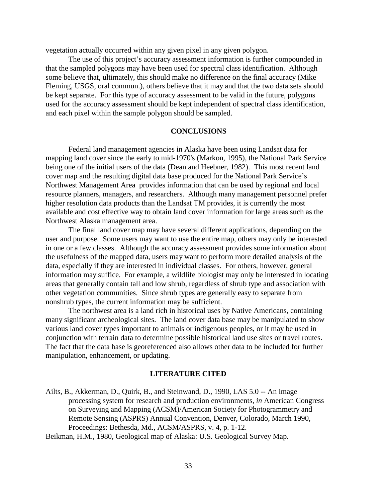vegetation actually occurred within any given pixel in any given polygon.

The use of this project's accuracy assessment information is further compounded in that the sampled polygons may have been used for spectral class identification. Although some believe that, ultimately, this should make no difference on the final accuracy (Mike Fleming, USGS, oral commun.), others believe that it may and that the two data sets should be kept separate. For this type of accuracy assessment to be valid in the future, polygons used for the accuracy assessment should be kept independent of spectral class identification, and each pixel within the sample polygon should be sampled.

### **CONCLUSIONS**

Federal land management agencies in Alaska have been using Landsat data for mapping land cover since the early to mid-1970's (Markon, 1995), the National Park Service being one of the initial users of the data (Dean and Heebner, 1982). This most recent land cover map and the resulting digital data base produced for the National Park Service's Northwest Management Area provides information that can be used by regional and local resource planners, managers, and researchers. Although many management personnel prefer higher resolution data products than the Landsat TM provides, it is currently the most available and cost effective way to obtain land cover information for large areas such as the Northwest Alaska management area.

The final land cover map may have several different applications, depending on the user and purpose. Some users may want to use the entire map, others may only be interested in one or a few classes. Although the accuracy assessment provides some information about the usefulness of the mapped data, users may want to perform more detailed analysis of the data, especially if they are interested in individual classes. For others, however, general information may suffice. For example, a wildlife biologist may only be interested in locating areas that generally contain tall and low shrub, regardless of shrub type and association with other vegetation communities. Since shrub types are generally easy to separate from nonshrub types, the current information may be sufficient.

The northwest area is a land rich in historical uses by Native Americans, containing many significant archeological sites. The land cover data base may be manipulated to show various land cover types important to animals or indigenous peoples, or it may be used in conjunction with terrain data to determine possible historical land use sites or travel routes. The fact that the data base is georeferenced also allows other data to be included for further manipulation, enhancement, or updating.

### **LITERATURE CITED**

Ailts, B., Akkerman, D., Quirk, B., and Steinwand, D., 1990, LAS 5.0 -- An image processing system for research and production environments, *in* American Congress on Surveying and Mapping (ACSM)/American Society for Photogrammetry and Remote Sensing (ASPRS) Annual Convention, Denver, Colorado, March 1990, Proceedings: Bethesda, Md., ACSM/ASPRS, v. 4, p. 1-12.

Beikman, H.M., 1980, Geological map of Alaska: U.S. Geological Survey Map.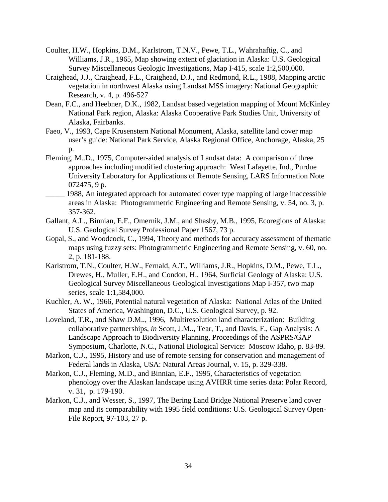- Coulter, H.W., Hopkins, D.M., Karlstrom, T.N.V., Pewe, T.L., Wahrahaftig, C., and Williams, J.R., 1965, Map showing extent of glaciation in Alaska: U.S. Geological Survey Miscellaneous Geologic Investigations, Map I-415, scale 1:2,500,000.
- Craighead, J.J., Craighead, F.L., Craighead, D.J., and Redmond, R.L., 1988, Mapping arctic vegetation in northwest Alaska using Landsat MSS imagery: National Geographic Research, v. 4, p. 496-527
- Dean, F.C., and Heebner, D.K., 1982, Landsat based vegetation mapping of Mount McKinley National Park region, Alaska: Alaska Cooperative Park Studies Unit, University of Alaska, Fairbanks.
- Faeo, V., 1993, Cape Krusenstern National Monument, Alaska, satellite land cover map user's guide: National Park Service, Alaska Regional Office, Anchorage, Alaska, 25 p.
- Fleming, M..D., 1975, Computer-aided analysis of Landsat data: A comparison of three approaches including modified clustering approach: West Lafayette, Ind., Purdue University Laboratory for Applications of Remote Sensing, LARS Information Note 072475, 9 p.
- 1988, An integrated approach for automated cover type mapping of large inaccessible areas in Alaska: Photogrammetric Engineering and Remote Sensing, v. 54, no. 3, p. 357-362.
- Gallant, A.L., Binnian, E.F., Omernik, J.M., and Shasby, M.B., 1995, Ecoregions of Alaska: U.S. Geological Survey Professional Paper 1567, 73 p.
- Gopal, S., and Woodcock, C., 1994, Theory and methods for accuracy assessment of thematic maps using fuzzy sets: Photogrammetric Engineering and Remote Sensing, v. 60, no. 2, p. 181-188.
- Karlstrom, T.N., Coulter, H.W., Fernald, A.T., Williams, J.R., Hopkins, D.M., Pewe, T.L., Drewes, H., Muller, E.H., and Condon, H., 1964, Surficial Geology of Alaska: U.S. Geological Survey Miscellaneous Geological Investigations Map I-357, two map series, scale 1:1,584,000.
- Kuchler, A. W., 1966, Potential natural vegetation of Alaska: National Atlas of the United States of America, Washington, D.C., U.S. Geological Survey, p. 92.
- Loveland, T.R., and Shaw D.M.., 1996, Multiresolution land characterization: Building collaborative partnerships, *in* Scott, J.M.., Tear, T., and Davis, F., Gap Analysis: A Landscape Approach to Biodiversity Planning, Proceedings of the ASPRS/GAP Symposium, Charlotte, N.C., National Biological Service: Moscow Idaho, p. 83-89.
- Markon, C.J., 1995, History and use of remote sensing for conservation and management of Federal lands in Alaska, USA: Natural Areas Journal, v. 15, p. 329-338.
- Markon, C.J., Fleming, M.D., and Binnian, E.F., 1995, Characteristics of vegetation phenology over the Alaskan landscape using AVHRR time series data: Polar Record, v. 31, p. 179-190.
- Markon, C.J., and Wesser, S., 1997, The Bering Land Bridge National Preserve land cover map and its comparability with 1995 field conditions: U.S. Geological Survey Open-File Report, 97-103, 27 p.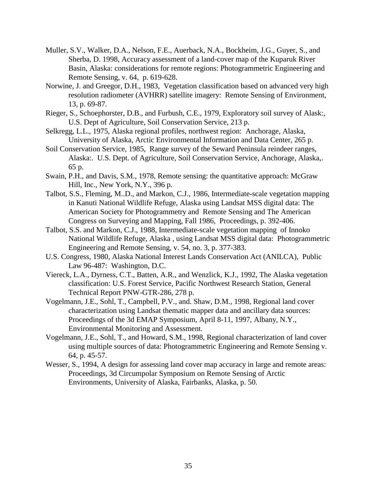- Muller, S.V., Walker, D.A., Nelson, F.E., Auerback, N.A., Bockheim, J.G., Guyer, S., and Sherba, D. 1998, Accuracy assessment of a land-cover map of the Kuparuk River Basin, Alaska: considerations for remote regions: Photogrammetric Engineering and Remote Sensing, v. 64, p. 619-628.
- Norwine, J. and Greegor, D.H., 1983, Vegetation classification based on advanced very high resolution radiometer (AVHRR) satellite imagery: Remote Sensing of Environment, 13, p. 69-87.
- Rieger, S., Schoephorster, D.B., and Furbush, C.E., 1979, Exploratory soil survey of Alask:, U.S. Dept of Agriculture, Soil Conservation Service, 213 p.
- Selkregg, L.L., 1975, Alaska regional profiles, northwest region: Anchorage, Alaska, University of Alaska, Arctic Environmental Information and Data Center, 265 p.
- Soil Conservation Service, 1985, Range survey of the Seward Peninsula reindeer ranges, Alaska:. U.S. Dept. of Agriculture, Soil Conservation Service, Anchorage, Alaska,. 65 p.
- Swain, P.H., and Davis, S.M., 1978, Remote sensing: the quantitative approach: McGraw Hill, Inc., New York, N.Y., 396 p.
- Talbot, S.S., Fleming, M..D., and Markon, C.J., 1986, Intermediate-scale vegetation mapping in Kanuti National Wildlife Refuge, Alaska using Landsat MSS digital data: The American Society for Photogrammetry and Remote Sensing and The American Congress on Surveying and Mapping, Fall 1986, Proceedings, p. 392-406.
- Talbot, S.S. and Markon, C.J., 1988, Intermediate-scale vegetation mapping of Innoko National Wildlife Refuge, Alaska , using Landsat MSS digital data: Photogrammetric Engineering and Remote Sensing, v. 54, no. 3, p. 377-383.
- U.S. Congress, 1980, Alaska National Interest Lands Conservation Act (ANILCA), Public Law 96-487: Washington, D.C.
- Viereck, L.A., Dyrness, C.T., Batten, A.R., and Wenzlick, K.J., 1992, The Alaska vegetation classification: U.S. Forest Service, Pacific Northwest Research Station, General Technical Report PNW-GTR-286, 278 p.
- Vogelmann, J.E., Sohl, T., Campbell, P.V., and. Shaw, D.M., 1998, Regional land cover characterization using Landsat thematic mapper data and ancillary data sources: Proceedings of the 3d EMAP Symposium, April 8-11, 1997, Albany, N.Y., Environmental Monitoring and Assessment.
- Vogelmann, J.E., Sohl, T., and Howard, S.M., 1998, Regional characterization of land cover using multiple sources of data: Photogrammetric Engineering and Remote Sensing v. 64, p. 45-57.
- Wesser, S., 1994, A design for assessing land cover map accuracy in large and remote areas: Proceedings, 3d Circumpolar Symposium on Remote Sensing of Arctic Environments, University of Alaska, Fairbanks, Alaska, p. 50.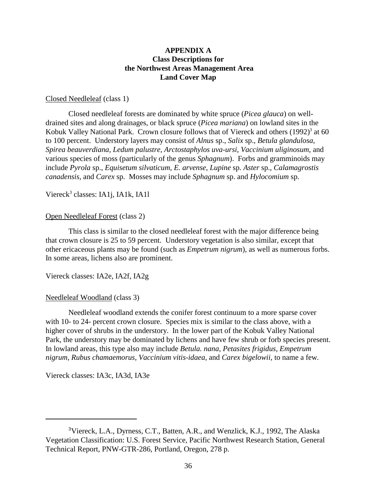### **APPENDIX A Class Descriptions for the Northwest Areas Management Area Land Cover Map**

### Closed Needleleaf (class 1)

Closed needleleaf forests are dominated by white spruce (*Picea glauca*) on welldrained sites and along drainages, or black spruce (*Picea mariana*) on lowland sites in the Kobuk Valley National Park. Crown closure follows that of Viereck and others (1992)<sup>3</sup> at 60 to 100 percent. Understory layers may consist of *Alnus* sp., *Salix* sp., *Betula glandulosa*, *Spirea beauverdiana, Ledum palustre*, *Arctostaphylos uva-ursi*, *Vaccinium uliginosum*, and various species of moss (particularly of the genus *Sphagnum*). Forbs and gramminoids may include *Pyrola* sp., *Equisetum silvaticum*, *E. arvense, Lupine* sp. *Aster* sp., *Calamagrostis canadensis*, and *Carex* sp. Mosses may include *Sphagnum* sp. and *Hylocomium* sp.

### Viereck<sup>3</sup> classes: IA1j, IA1k, IA1l

### Open Needleleaf Forest (class 2)

This class is similar to the closed needleleaf forest with the major difference being that crown closure is 25 to 59 percent. Understory vegetation is also similar, except that other ericaceous plants may be found (such as *Empetrum nigrum*), as well as numerous forbs. In some areas, lichens also are prominent.

Viereck classes: IA2e, IA2f, IA2g

### Needleleaf Woodland (class 3)

Needleleaf woodland extends the conifer forest continuum to a more sparse cover with 10- to 24- percent crown closure. Species mix is similar to the class above, with a higher cover of shrubs in the understory. In the lower part of the Kobuk Valley National Park, the understory may be dominated by lichens and have few shrub or forb species present. In lowland areas, this type also may include *Betula. nana, Petasites frigidus, Empetrum nigrum, Rubus chamaemorus, Vaccinium vitis-idaea,* and *Carex bigelowii,* to name a few*.*

Viereck classes: IA3c, IA3d, IA3e

<sup>&</sup>lt;sup>3</sup>Viereck, L.A., Dyrness, C.T., Batten, A.R., and Wenzlick, K.J., 1992, The Alaska Vegetation Classification: U.S. Forest Service, Pacific Northwest Research Station, General Technical Report, PNW-GTR-286, Portland, Oregon, 278 p.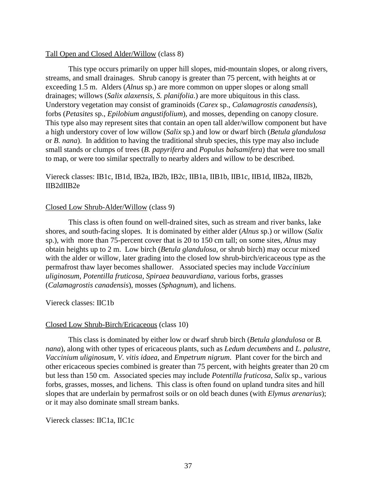### Tall Open and Closed Alder/Willow (class 8)

This type occurs primarily on upper hill slopes, mid-mountain slopes, or along rivers, streams, and small drainages. Shrub canopy is greater than 75 percent, with heights at or exceeding 1.5 m. Alders (*Alnus* sp.) are more common on upper slopes or along small drainages; willows (*Salix alaxensis, S. planifolia*.) are more ubiquitous in this class. Understory vegetation may consist of graminoids (*Carex* sp., *Calamagrostis canadensis*), forbs (*Petasites* sp., *Epilobium angustifolium*), and mosses, depending on canopy closure. This type also may represent sites that contain an open tall alder/willow component but have a high understory cover of low willow (*Salix* sp.) and low or dwarf birch (*Betula glandulosa* or *B. nana*). In addition to having the traditional shrub species, this type may also include small stands or clumps of trees (*B. papyrifera* and *Populus balsamifera*) that were too small to map, or were too similar spectrally to nearby alders and willow to be described.

### Viereck classes: IB1c, IB1d, IB2a, IB2b, IB2c, IIB1a, IIB1b, IIB1c, IIB1d, IIB2a, IIB2b, IIB2dIIB2e

### Closed Low Shrub-Alder/Willow (class 9)

This class is often found on well-drained sites, such as stream and river banks, lake shores, and south-facing slopes. It is dominated by either alder (*Alnus* sp.) or willow (*Salix* sp.), with more than 75-percent cover that is 20 to 150 cm tall; on some sites, *Alnus* may obtain heights up to 2 m. Low birch (*Betula glandulosa*, or shrub birch) may occur mixed with the alder or willow, later grading into the closed low shrub-birch/ericaceous type as the permafrost thaw layer becomes shallower. Associated species may include *Vaccinium uliginosum*, *Potentilla fruticosa*, *Spiraea beauvardiana*, various forbs, grasses (*Calamagrostis canadensis*), mosses (*Sphagnum*), and lichens.

### Viereck classes: IIC1b

### Closed Low Shrub-Birch/Ericaceous (class 10)

This class is dominated by either low or dwarf shrub birch (*Betula glandulosa* or *B. nana*), along with other types of ericaceous plants, such as *Ledum decumbens* and *L. palustre*, *Vaccinium uliginosum*, *V. vitis idaea*, and *Empetrum nigrum*. Plant cover for the birch and other ericaceous species combined is greater than 75 percent, with heights greater than 20 cm but less than 150 cm. Associated species may include *Potentilla fruticosa*, *Salix* sp., various forbs, grasses, mosses, and lichens. This class is often found on upland tundra sites and hill slopes that are underlain by permafrost soils or on old beach dunes (with *Elymus arenarius*); or it may also dominate small stream banks.

Viereck classes: IIC1a, IIC1c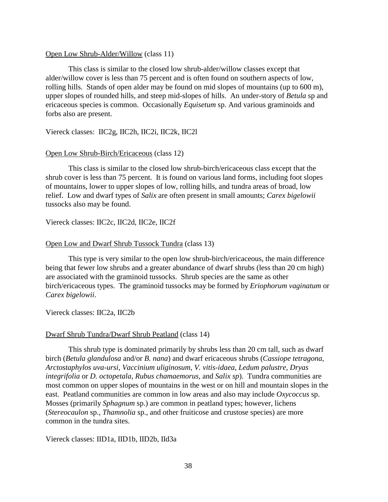### Open Low Shrub-Alder/Willow (class 11)

This class is similar to the closed low shrub-alder/willow classes except that alder/willow cover is less than 75 percent and is often found on southern aspects of low, rolling hills. Stands of open alder may be found on mid slopes of mountains (up to 600 m), upper slopes of rounded hills, and steep mid-slopes of hills. An under-story of *Betula* sp and ericaceous species is common. Occasionally *Equisetum* sp. And various graminoids and forbs also are present.

Viereck classes: IIC2g, IIC2h, IIC2i, IIC2k, IIC2l

### Open Low Shrub-Birch/Ericaceous (class 12)

This class is similar to the closed low shrub-birch/ericaceous class except that the shrub cover is less than 75 percent. It is found on various land forms, including foot slopes of mountains, lower to upper slopes of low, rolling hills, and tundra areas of broad, low relief. Low and dwarf types of *Salix* are often present in small amounts; *Carex bigelowii* tussocks also may be found.

Viereck classes: IIC2c, IIC2d, IIC2e, IIC2f

### Open Low and Dwarf Shrub Tussock Tundra (class 13)

This type is very similar to the open low shrub-birch/ericaceous, the main difference being that fewer low shrubs and a greater abundance of dwarf shrubs (less than 20 cm high) are associated with the graminoid tussocks. Shrub species are the same as other birch/ericaceous types. The graminoid tussocks may be formed by *Eriophorum vaginatum* or *Carex bigelowii*.

Viereck classes: IIC2a, IIC2b

### Dwarf Shrub Tundra/Dwarf Shrub Peatland (class 14)

This shrub type is dominated primarily by shrubs less than 20 cm tall, such as dwarf birch (*Betula glandulosa* and/or *B. nana*) and dwarf ericaceous shrubs (*Cassiope tetragona*, *Arctostaphylos uva-ursi, Vaccinium uliginosum*, *V. vitis-idaea*, *Ledum palustre*, *Dryas integrifolia* or *D. octopetala*, *Rubus chamaemorus,* and *Salix sp*). Tundra communities are most common on upper slopes of mountains in the west or on hill and mountain slopes in the east. Peatland communities are common in low areas and also may include *Oxycoccus* sp. Mosses (primarily *Sphagnum* sp.) are common in peatland types; however, lichens (*Stereocaulon* sp., *Thamnolia* sp., and other fruiticose and crustose species) are more common in the tundra sites.

Viereck classes: IID1a, IID1b, IID2b, IId3a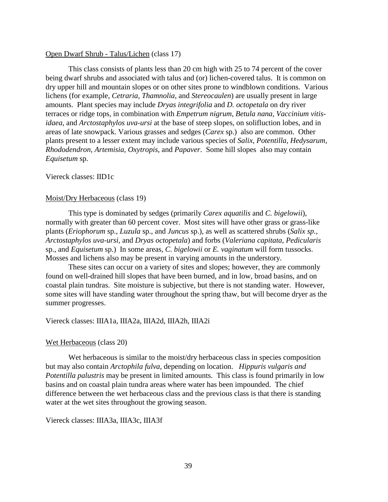### Open Dwarf Shrub - Talus/Lichen (class 17)

This class consists of plants less than 20 cm high with 25 to 74 percent of the cover being dwarf shrubs and associated with talus and (or) lichen-covered talus. It is common on dry upper hill and mountain slopes or on other sites prone to windblown conditions. Various lichens (for example, *Cetraria, Thamnolia,* and *Stereocaulen*) are usually present in large amounts. Plant species may include *Dryas integrifolia* and *D. octopetala* on dry river terraces or ridge tops, in combination with *Empetrum nigrum*, *Betula nana, Vaccinium vitisidaea*, and *Arctostaphylos uva-ursi* at the base of steep slopes, on solifluction lobes, and in areas of late snowpack. Various grasses and sedges (*Carex* sp.) also are common. Other plants present to a lesser extent may include various species of *Salix, Potentilla, Hedysarum, Rhododendron*, *Artemisia, Oxytropis*, and *Papaver*. Some hill slopes also may contain *Equisetum* sp.

### Viereck classes: IID1c

### Moist/Dry Herbaceous (class 19)

This type is dominated by sedges (primarily *Carex aquatilis* and *C. bigelowii*), normally with greater than 60 percent cover. Most sites will have other grass or grass-like plants (*Eriophorum* sp., *Luzula* sp., and *Juncus* sp.), as well as scattered shrubs (*Salix sp.*, *Arctostaphylos uva-ursi,* and *Dryas octopetala*) and forbs (*Valeriana capitata*, *Pedicularis* sp., and *Equisetum* sp.) In some areas, *C. bigelowii* or *E. vaginatum* will form tussocks. Mosses and lichens also may be present in varying amounts in the understory.

These sites can occur on a variety of sites and slopes; however, they are commonly found on well-drained hill slopes that have been burned, and in low, broad basins, and on coastal plain tundras. Site moisture is subjective, but there is not standing water. However, some sites will have standing water throughout the spring thaw, but will become dryer as the summer progresses.

### Viereck classes: IIIA1a, IIIA2a, IIIA2d, IIIA2h, IIIA2i

#### Wet Herbaceous (class 20)

Wet herbaceous is similar to the moist/dry herbaceous class in species composition but may also contain *Arctophila fulva*, depending on location. *Hippuris vulgaris and Potentilla palustris* may be present in limited amounts. This class is found primarily in low basins and on coastal plain tundra areas where water has been impounded. The chief difference between the wet herbaceous class and the previous class is that there is standing water at the wet sites throughout the growing season.

Viereck classes: IIIA3a, IIIA3c, IIIA3f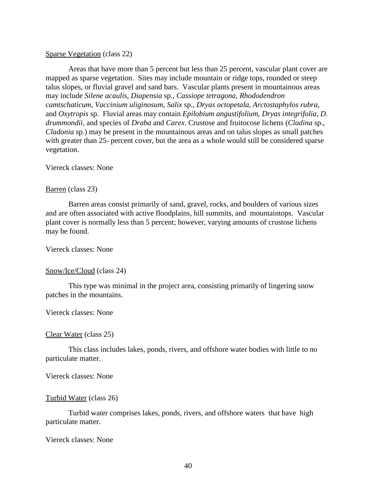### Sparse Vegetation (class 22)

Areas that have more than 5 percent but less than 25 percent, vascular plant cover are mapped as sparse vegetation. Sites may include mountain or ridge tops, rounded or steep talus slopes, or fluvial gravel and sand bars. Vascular plants present in mountainous areas may include *Silene acaulis*, *Diapensia* sp., *Cassiope tetragona, Rhododendron camtschaticum*, *Vaccinium uliginosum, Salix* sp*., Dryas octopetala*, *Arctostaphylos rubra*, and *Oxytropis* sp. Fluvial areas may contain *Epilobium angustifolium*, *Dryas integrifolia, D. drummondii*, and species of *Draba* and *Carex*. Crustose and fruitocose lichens (*Cladina* sp., *Cladonia* sp.) may be present in the mountainous areas and on talus slopes as small patches with greater than 25- percent cover, but the area as a whole would still be considered sparse vegetation.

### Viereck classes: None

### Barren (class 23)

Barren areas consist primarily of sand, gravel, rocks, and boulders of various sizes and are often associated with active floodplains, hill summits, and mountaintops. Vascular plant cover is normally less than 5 percent; however, varying amounts of crustose lichens may be found.

### Viereck classes: None

### Snow/Ice/Cloud (class 24)

This type was minimal in the project area, consisting primarily of lingering snow patches in the mountains.

### Viereck classes: None

### Clear Water (class 25)

This class includes lakes, ponds, rivers, and offshore water bodies with little to no particulate matter.

### Viereck classes: None

### Turbid Water (class 26)

Turbid water comprises lakes, ponds, rivers, and offshore waters that have high particulate matter.

### Viereck classes: None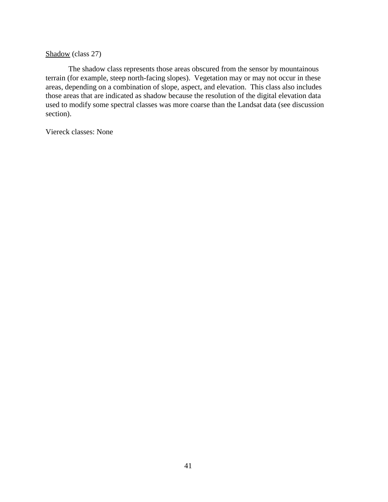### Shadow (class 27)

The shadow class represents those areas obscured from the sensor by mountainous terrain (for example, steep north-facing slopes). Vegetation may or may not occur in these areas, depending on a combination of slope, aspect, and elevation. This class also includes those areas that are indicated as shadow because the resolution of the digital elevation data used to modify some spectral classes was more coarse than the Landsat data (see discussion section).

Viereck classes: None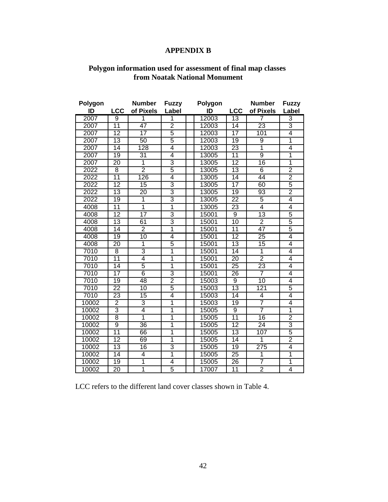# **APPENDIX B**

### **Polygon information used for assessment of final map classes from Noatak National Monument**

| Polygon |                 | <b>Number</b>   | <b>Fuzzy</b>            | Polygon |                 | <b>Number</b>   | <b>Fuzzy</b>            |
|---------|-----------------|-----------------|-------------------------|---------|-----------------|-----------------|-------------------------|
| ID      | <b>LCC</b>      | of Pixels       | Label                   | ID      | <b>LCC</b>      | of Pixels       | Label                   |
| 2007    | 9               | 1               | 1                       | 12003   | 13              | 7               | 3                       |
| 2007    | $\overline{11}$ | 47              | $\overline{2}$          | 12003   | 14              | 23              | $\overline{3}$          |
| 2007    | $\overline{12}$ | $\overline{17}$ | 5                       | 12003   | 17              | 101             | 4                       |
| 2007    | $\overline{13}$ | 50              | 5                       | 12003   | $\overline{19}$ | $\overline{9}$  | $\overline{\mathbf{1}}$ |
| 2007    | $\overline{14}$ | 128             | 4                       | 12003   | $\overline{23}$ | $\overline{1}$  | $\overline{4}$          |
| 2007    | 19              | $\overline{31}$ | $\overline{4}$          | 13005   | $\overline{11}$ | $\overline{9}$  | $\overline{1}$          |
| 2007    | $\overline{20}$ | $\overline{1}$  | $\overline{3}$          | 13005   | $\overline{12}$ | 16              | $\overline{\mathbf{1}}$ |
| 2022    | 8               | $\overline{2}$  | 5                       | 13005   | $\overline{13}$ | $\overline{6}$  | $\frac{2}{2}$           |
| 2022    | $\overline{11}$ | 126             | $\overline{4}$          | 13005   | $\overline{14}$ | 44              |                         |
| 2022    | $\overline{12}$ | 15              | $\overline{3}$          | 13005   | $\overline{17}$ | 60              | 5                       |
| 2022    | $\overline{13}$ | $\overline{20}$ | $\overline{3}$          | 13005   | 19              | 93              | $\overline{2}$          |
| 2022    | $\overline{19}$ | $\overline{1}$  | $\overline{3}$          | 13005   | $\overline{22}$ | 5               | 4                       |
| 4008    | $\overline{11}$ | 1               | $\overline{1}$          | 13005   | $\overline{23}$ | $\overline{4}$  | $\overline{4}$          |
| 4008    | $\overline{12}$ | $\overline{17}$ | 3                       | 15001   | $\overline{9}$  | 13              | $\overline{5}$          |
| 4008    | $\overline{13}$ | 61              | $\overline{3}$          | 15001   | $\overline{10}$ | $\overline{2}$  | $\overline{5}$          |
| 4008    | $\overline{14}$ | $\overline{2}$  | $\overline{1}$          | 15001   | $\overline{11}$ | 47              | $\overline{5}$          |
| 4008    | 19              | 10              | $\overline{4}$          | 15001   | $\overline{12}$ | $\overline{25}$ | 4                       |
| 4008    | $\overline{20}$ | $\overline{1}$  | $\overline{5}$          | 15001   | $\overline{13}$ | $\overline{15}$ | 4                       |
| 7010    | $\overline{8}$  | 3               | $\overline{1}$          | 15001   | $\overline{14}$ | $\overline{1}$  | $\overline{4}$          |
| 7010    | $\overline{11}$ | 4               | $\overline{\mathbf{1}}$ | 15001   | $\overline{20}$ | $\overline{2}$  | $\overline{4}$          |
| 7010    | $\overline{14}$ | 5               | 1                       | 15001   | $\overline{25}$ | $\overline{23}$ | $\overline{4}$          |
| 7010    | $\overline{17}$ | 6               | 3                       | 15001   | $\overline{26}$ | 7               | $\overline{4}$          |
| 7010    | $\overline{19}$ | 48              | $\overline{2}$          | 15003   | 9               | 10              | $\overline{4}$          |
| 7010    | $\overline{22}$ | $\overline{10}$ | 5                       | 15003   | $\overline{13}$ | 121             | $\overline{5}$          |
| 7010    | $\overline{23}$ | $\overline{15}$ | $\overline{4}$          | 15003   | $\overline{14}$ | $\overline{4}$  | $\overline{4}$          |
| 10002   | $\overline{2}$  | 3               | $\overline{1}$          | 15003   | $\overline{19}$ | 7               | $\overline{4}$          |
| 10002   | 3               | 4               | $\overline{1}$          | 15005   | 9               | 7               | $\overline{1}$          |
| 10002   | 8               | $\overline{1}$  | $\overline{1}$          | 15005   | $\overline{11}$ | 16              | $\overline{2}$          |
| 10002   | $\overline{9}$  | 36              | 1                       | 15005   | $\overline{12}$ | 24              | $\overline{3}$          |
| 10002   | $\overline{11}$ | 66              | $\overline{1}$          | 15005   | $\overline{13}$ | 107             | 5                       |
| 10002   | $\overline{12}$ | 69              | $\overline{1}$          | 15005   | $\overline{14}$ | $\overline{1}$  | $\overline{2}$          |
| 10002   | $\overline{13}$ | 16              | 3                       | 15005   | 19              | 275             | $\overline{4}$          |
| 10002   | $\overline{14}$ | 4               | 1                       | 15005   | $\overline{25}$ | $\overline{1}$  | $\overline{1}$          |
| 10002   | $\overline{19}$ | 1               | $\overline{4}$          | 15005   | 26              | $\overline{7}$  | $\overline{1}$          |
| 10002   | $\overline{20}$ | 1               | 5                       | 17007   | $\overline{11}$ | $\overline{2}$  | $\overline{4}$          |

LCC refers to the different land cover classes shown in Table 4.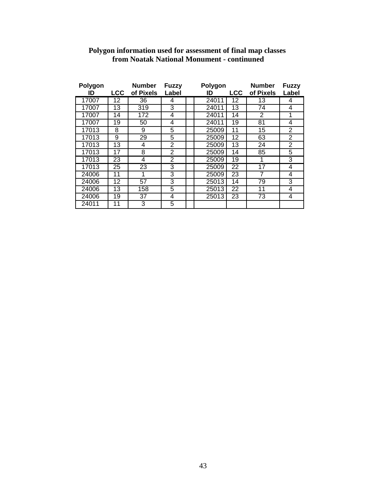| Polygon |     | <b>Number</b>   | <b>Fuzzy</b>   | Polygon |                 | <b>Number</b>   | <b>Fuzzy</b> |
|---------|-----|-----------------|----------------|---------|-----------------|-----------------|--------------|
| ID      | LCC | of Pixels       | Label          | ID      | <b>LCC</b>      | of Pixels       | Label        |
| 17007   | 12  | 36              | 4              | 24011   | 12              | 13              | 4            |
| 17007   | 13  | 319             | 3              | 24011   | 13              | 74              | 4            |
| 17007   | 14  | 172             | 4              | 24011   | 14              | 2               | 1            |
| 17007   | 19  | 50              | 4              | 24011   | 19              | 81              | 4            |
| 17013   | 8   | 9               | $\overline{5}$ | 25009   | 11              | 15              | 2            |
| 17013   | 9   | 29              | 5              | 25009   | 12              | 63              | 2            |
| 17013   | 13  | 4               | 2              | 25009   | 13              | $\overline{24}$ | 2            |
| 17013   | 17  | 8               | 2              | 25009   | 14              | 85              | 5            |
| 17013   | 23  | 4               | $\bar{2}$      | 25009   | 19              | 1               | 3            |
| 17013   | 25  | $\overline{23}$ | 3              | 25009   | $\overline{22}$ | 17              | 4            |
| 24006   | 11  | 1               | 3              | 25009   | 23              | 7               | 4            |
| 24006   | 12  | 57              | 3              | 25013   | 14              | 79              | 3            |
| 24006   | 13  | 158             | 5              | 25013   | 22              | 11              | 4            |
| 24006   | 19  | 37              | 4              | 25013   | 23              | 73              | 4            |
| 24011   | 11  | 3               | 5              |         |                 |                 |              |

### **Polygon information used for assessment of final map classes from Noatak National Monument - continuned**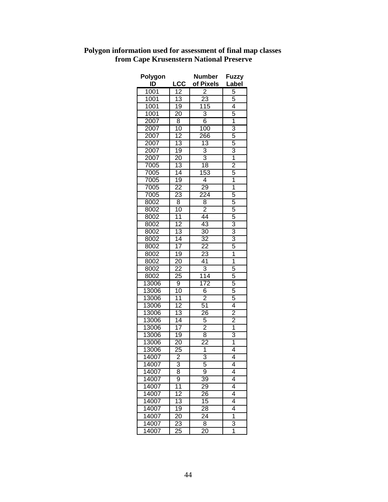| Polygon                   |                                    | <b>Number</b>       | <b>Fuzzy</b>                              |
|---------------------------|------------------------------------|---------------------|-------------------------------------------|
| $\underline{\mathsf{ID}}$ | <u>LCC</u>                         | of Pixels           | Label                                     |
| 1001                      | $\frac{12}{13}$                    | $\frac{2}{23}$      | $rac{5}{5}$                               |
| 1001                      |                                    |                     |                                           |
| 1001                      | 19                                 | 115                 | 4                                         |
| 1001                      | $\overline{20}$                    | $\overline{3}$      | 5                                         |
| 2007                      | $\overline{8}$                     | $\overline{6}$      | $\overline{\mathbf{1}}$                   |
| 2007                      | 10                                 | 100                 |                                           |
| 2007                      | $\overline{12}$                    | 266                 | $\frac{3}{5}$                             |
| 2007                      | 13                                 | $\overline{13}$     |                                           |
| 2007                      | 19                                 | $\overline{3}$      |                                           |
| 2007                      | $\overline{20}$                    | $\overline{3}$      | $\frac{3}{1}$                             |
| 7005                      | $\overline{13}$                    | 18                  |                                           |
| 7005                      | 14                                 | 153                 | $\frac{2}{5}$                             |
| 7005                      | $\overline{19}$                    | $\overline{4}$      | $\overline{1}$                            |
| 7005                      |                                    | 29                  |                                           |
| 7005                      | $\frac{22}{23}$                    |                     | $\frac{1}{5}$                             |
| 8002                      | $\overline{8}$                     | $\frac{224}{8}$     |                                           |
| 8002                      | 10                                 | $\overline{2}$      | 5                                         |
| 8002                      |                                    | 44                  | 5                                         |
| 8002                      | $\frac{11}{12}$ $\frac{12}{13}$    | 43                  | $\overline{3}$                            |
| 8002                      |                                    | $\overline{30}$     |                                           |
| 8002                      | 14                                 | $\overline{32}$     | $\frac{3}{5}$                             |
| 8002                      | 17                                 | <u>22</u>           |                                           |
| 8002                      | 19                                 | 23                  | $\overline{1}$                            |
| 8002                      | 20                                 | 41                  | $\overline{\mathbf{1}}$                   |
| 8002                      |                                    | $\overline{3}$      | 5                                         |
| 8002                      | $\overline{22}$<br>$\overline{25}$ | 114                 |                                           |
| 13006                     | $\overline{9}$                     | 172                 | $rac{5}{5}$                               |
| 13006                     | 10                                 | $\overline{6}$      |                                           |
| 13006                     |                                    | $\overline{2}$      | $\frac{5}{5}$ $\frac{4}{2}$ $\frac{2}{1}$ |
| 13006                     |                                    | 51                  |                                           |
| 13006                     | $\frac{11}{12}$<br>$\frac{13}{14}$ | $\overline{26}$     |                                           |
| 13006                     |                                    |                     |                                           |
|                           |                                    | 5<br>$\overline{2}$ |                                           |
| 13006                     | $\overline{17}$                    |                     |                                           |
| 13006<br>13006            | $\overline{19}$                    | $rac{6}{22}$        | $\frac{3}{1}$                             |
|                           | $\overline{20}$                    |                     |                                           |
| 13006                     | 25<br>$\overline{2}$               | 1<br>R              | 4<br>$\overline{\it{4}}$                  |
| 14007                     |                                    |                     |                                           |
| 14007                     | 3                                  | 5                   | 4                                         |
| 14007                     | 8                                  | 9                   | 4                                         |
| 14007                     | $\overline{9}$                     | $\overline{39}$     | 4                                         |
| 14007                     | $\overline{11}$                    | 29                  | 4                                         |
| 14007                     | $\overline{12}$                    | $\overline{26}$     | 4                                         |
| 14007                     | $\overline{13}$                    | $\overline{15}$     | 4                                         |
| 14007                     | 19                                 | $\overline{28}$     | 4                                         |
| 14007                     | $\overline{20}$                    | 24                  | 1                                         |
| 14007                     | 23                                 | 8                   | $\overline{3}$                            |
| 14007                     | $\overline{25}$                    | $\overline{20}$     | 1                                         |

# **Polygon information used for assessment of final map classes from Cape Krusenstern National Preserve**